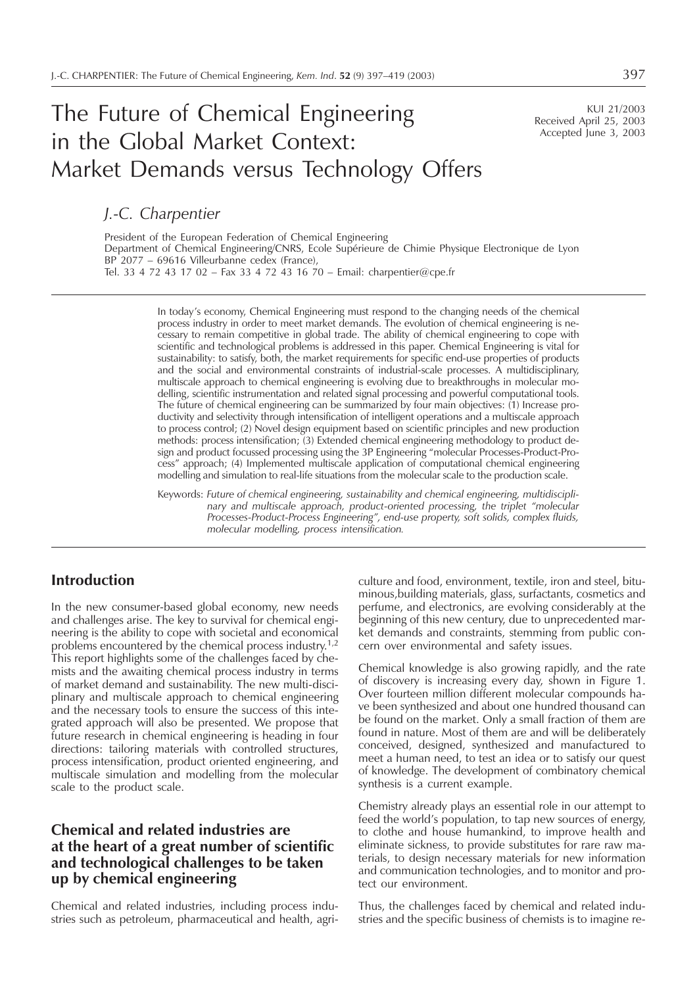# The Future of Chemical Engineering in the Global Market Context: Market Demands versus Technology Offers

KUI 21/2003 Received April 25, 2003 Accepted June 3, 2003

# *J.-C. Charpentier*

President of the European Federation of Chemical Engineering Department of Chemical Engineering/CNRS, Ecole Supérieure de Chimie Physique Electronique de Lyon BP 2077 – 69616 Villeurbanne cedex (France), Tel. 33 4 72 43 17 02 – Fax 33 4 72 43 16 70 – Email: charpentier@cpe.fr

> In today's economy, Chemical Engineering must respond to the changing needs of the chemical process industry in order to meet market demands. The evolution of chemical engineering is necessary to remain competitive in global trade. The ability of chemical engineering to cope with scientific and technological problems is addressed in this paper. Chemical Engineering is vital for sustainability: to satisfy, both, the market requirements for specific end-use properties of products and the social and environmental constraints of industrial-scale processes. A multidisciplinary, multiscale approach to chemical engineering is evolving due to breakthroughs in molecular modelling, scientific instrumentation and related signal processing and powerful computational tools. The future of chemical engineering can be summarized by four main objectives: (1) Increase productivity and selectivity through intensification of intelligent operations and a multiscale approach to process control; (2) Novel design equipment based on scientific principles and new production methods: process intensification; (3) Extended chemical engineering methodology to product design and product focussed processing using the 3P Engineering "molecular Processes-Product-Process" approach; (4) Implemented multiscale application of computational chemical engineering modelling and simulation to real-life situations from the molecular scale to the production scale.

> Keywords: *Future of chemical engineering, sustainability and chemical engineering, multidisciplinary and multiscale approach, product-oriented processing, the triplet "molecular Processes-Product-Process Engineering", end-use property, soft solids, complex fluids, molecular modelling, process intensification.*

# **Introduction**

In the new consumer-based global economy, new needs and challenges arise. The key to survival for chemical engineering is the ability to cope with societal and economical problems encountered by the chemical process industry.1,2 This report highlights some of the challenges faced by chemists and the awaiting chemical process industry in terms of market demand and sustainability. The new multi-disciplinary and multiscale approach to chemical engineering and the necessary tools to ensure the success of this integrated approach will also be presented. We propose that future research in chemical engineering is heading in four directions: tailoring materials with controlled structures, process intensification, product oriented engineering, and multiscale simulation and modelling from the molecular scale to the product scale.

# **Chemical and related industries are at the heart of a great number of scientific and technological challenges to be taken up by chemical engineering**

Chemical and related industries, including process industries such as petroleum, pharmaceutical and health, agriculture and food, environment, textile, iron and steel, bituminous,building materials, glass, surfactants, cosmetics and perfume, and electronics, are evolving considerably at the beginning of this new century, due to unprecedented market demands and constraints, stemming from public concern over environmental and safety issues.

Chemical knowledge is also growing rapidly, and the rate of discovery is increasing every day, shown in Figure 1. Over fourteen million different molecular compounds have been synthesized and about one hundred thousand can be found on the market. Only a small fraction of them are found in nature. Most of them are and will be deliberately conceived, designed, synthesized and manufactured to meet a human need, to test an idea or to satisfy our quest of knowledge. The development of combinatory chemical synthesis is a current example.

Chemistry already plays an essential role in our attempt to feed the world's population, to tap new sources of energy, to clothe and house humankind, to improve health and eliminate sickness, to provide substitutes for rare raw materials, to design necessary materials for new information and communication technologies, and to monitor and protect our environment.

Thus, the challenges faced by chemical and related industries and the specific business of chemists is to imagine re-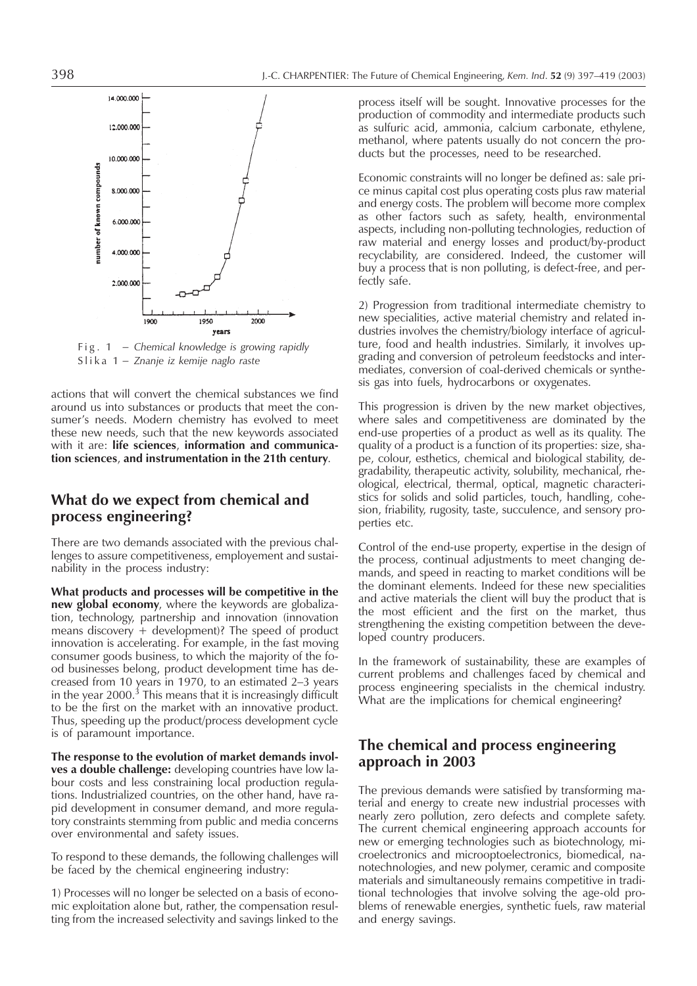

Fig. 1 – *Chemical knowledge is growing rapidly* Slika 1 – *Znanje iz kemije naglo raste*

actions that will convert the chemical substances we find around us into substances or products that meet the consumer's needs. Modern chemistry has evolved to meet these new needs, such that the new keywords associated with it are: **life sciences**, **information and communication sciences**, **and instrumentation in the 21th century**.

# **What do we expect from chemical and process engineering?**

There are two demands associated with the previous challenges to assure competitiveness, employement and sustainability in the process industry:

**What products and processes will be competitive in the new global economy**, where the keywords are globalization, technology, partnership and innovation (innovation means discovery  $+$  development)? The speed of product innovation is accelerating. For example, in the fast moving consumer goods business, to which the majority of the food businesses belong, product development time has decreased from 10 years in 1970, to an estimated 2–3 years in the year  $2000<sup>3</sup>$ . This means that it is increasingly difficult to be the first on the market with an innovative product. Thus, speeding up the product/process development cycle is of paramount importance.

**The response to the evolution of market demands involves a double challenge:** developing countries have low labour costs and less constraining local production regulations. Industrialized countries, on the other hand, have rapid development in consumer demand, and more regulatory constraints stemming from public and media concerns over environmental and safety issues.

To respond to these demands, the following challenges will be faced by the chemical engineering industry:

1) Processes will no longer be selected on a basis of economic exploitation alone but, rather, the compensation resulting from the increased selectivity and savings linked to the process itself will be sought. Innovative processes for the production of commodity and intermediate products such as sulfuric acid, ammonia, calcium carbonate, ethylene, methanol, where patents usually do not concern the products but the processes, need to be researched.

Economic constraints will no longer be defined as: sale price minus capital cost plus operating costs plus raw material and energy costs. The problem will become more complex as other factors such as safety, health, environmental aspects, including non-polluting technologies, reduction of raw material and energy losses and product/by-product recyclability, are considered. Indeed, the customer will buy a process that is non polluting, is defect-free, and perfectly safe.

2) Progression from traditional intermediate chemistry to new specialities, active material chemistry and related industries involves the chemistry/biology interface of agriculture, food and health industries. Similarly, it involves upgrading and conversion of petroleum feedstocks and intermediates, conversion of coal-derived chemicals or synthesis gas into fuels, hydrocarbons or oxygenates.

This progression is driven by the new market objectives, where sales and competitiveness are dominated by the end-use properties of a product as well as its quality. The quality of a product is a function of its properties: size, shape, colour, esthetics, chemical and biological stability, degradability, therapeutic activity, solubility, mechanical, rheological, electrical, thermal, optical, magnetic characteristics for solids and solid particles, touch, handling, cohesion, friability, rugosity, taste, succulence, and sensory properties etc.

Control of the end-use property, expertise in the design of the process, continual adjustments to meet changing demands, and speed in reacting to market conditions will be the dominant elements. Indeed for these new specialities and active materials the client will buy the product that is the most efficient and the first on the market, thus strengthening the existing competition between the developed country producers.

In the framework of sustainability, these are examples of current problems and challenges faced by chemical and process engineering specialists in the chemical industry. What are the implications for chemical engineering?

# **The chemical and process engineering approach in 2003**

The previous demands were satisfied by transforming material and energy to create new industrial processes with nearly zero pollution, zero defects and complete safety. The current chemical engineering approach accounts for new or emerging technologies such as biotechnology, microelectronics and microoptoelectronics, biomedical, nanotechnologies, and new polymer, ceramic and composite materials and simultaneously remains competitive in traditional technologies that involve solving the age-old problems of renewable energies, synthetic fuels, raw material and energy savings.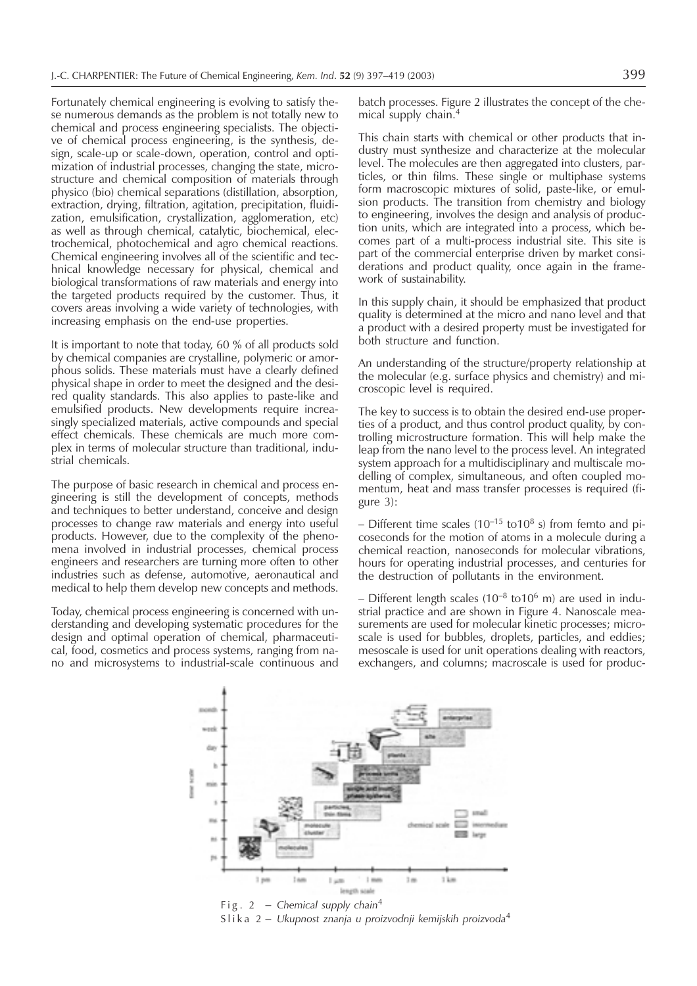Fortunately chemical engineering is evolving to satisfy these numerous demands as the problem is not totally new to chemical and process engineering specialists. The objective of chemical process engineering, is the synthesis, design, scale-up or scale-down, operation, control and optimization of industrial processes, changing the state, microstructure and chemical composition of materials through physico (bio) chemical separations (distillation, absorption, extraction, drying, filtration, agitation, precipitation, fluidization, emulsification, crystallization, agglomeration, etc) as well as through chemical, catalytic, biochemical, electrochemical, photochemical and agro chemical reactions. Chemical engineering involves all of the scientific and technical knowledge necessary for physical, chemical and biological transformations of raw materials and energy into the targeted products required by the customer. Thus, it covers areas involving a wide variety of technologies, with increasing emphasis on the end-use properties.

It is important to note that today, 60 % of all products sold by chemical companies are crystalline, polymeric or amorphous solids. These materials must have a clearly defined physical shape in order to meet the designed and the desired quality standards. This also applies to paste-like and emulsified products. New developments require increasingly specialized materials, active compounds and special effect chemicals. These chemicals are much more complex in terms of molecular structure than traditional, industrial chemicals.

The purpose of basic research in chemical and process engineering is still the development of concepts, methods and techniques to better understand, conceive and design processes to change raw materials and energy into useful products. However, due to the complexity of the phenomena involved in industrial processes, chemical process engineers and researchers are turning more often to other industries such as defense, automotive, aeronautical and medical to help them develop new concepts and methods.

Today, chemical process engineering is concerned with understanding and developing systematic procedures for the design and optimal operation of chemical, pharmaceutical, food, cosmetics and process systems, ranging from nano and microsystems to industrial-scale continuous and batch processes. Figure 2 illustrates the concept of the chemical supply chain.<sup>4</sup>

This chain starts with chemical or other products that industry must synthesize and characterize at the molecular level. The molecules are then aggregated into clusters, particles, or thin films. These single or multiphase systems form macroscopic mixtures of solid, paste-like, or emulsion products. The transition from chemistry and biology to engineering, involves the design and analysis of production units, which are integrated into a process, which becomes part of a multi-process industrial site. This site is part of the commercial enterprise driven by market considerations and product quality, once again in the framework of sustainability.

In this supply chain, it should be emphasized that product quality is determined at the micro and nano level and that a product with a desired property must be investigated for both structure and function.

An understanding of the structure/property relationship at the molecular (e.g. surface physics and chemistry) and microscopic level is required.

The key to success is to obtain the desired end-use properties of a product, and thus control product quality, by controlling microstructure formation. This will help make the leap from the nano level to the process level. An integrated system approach for a multidisciplinary and multiscale modelling of complex, simultaneous, and often coupled momentum, heat and mass transfer processes is required (figure 3):

– Different time scales ( $10^{-15}$  to $10^8$  s) from femto and picoseconds for the motion of atoms in a molecule during a chemical reaction, nanoseconds for molecular vibrations, hours for operating industrial processes, and centuries for the destruction of pollutants in the environment.

– Different length scales ( $10^{-8}$  to $10^{6}$  m) are used in industrial practice and are shown in Figure 4. Nanoscale measurements are used for molecular kinetic processes; microscale is used for bubbles, droplets, particles, and eddies; mesoscale is used for unit operations dealing with reactors, exchangers, and columns; macroscale is used for produc-



Fig. 2 – *Chemical supply chain*<sup>4</sup> Slika 2 – *Ukupnost znanja u proizvodnji kemijskih proizvoda*<sup>4</sup>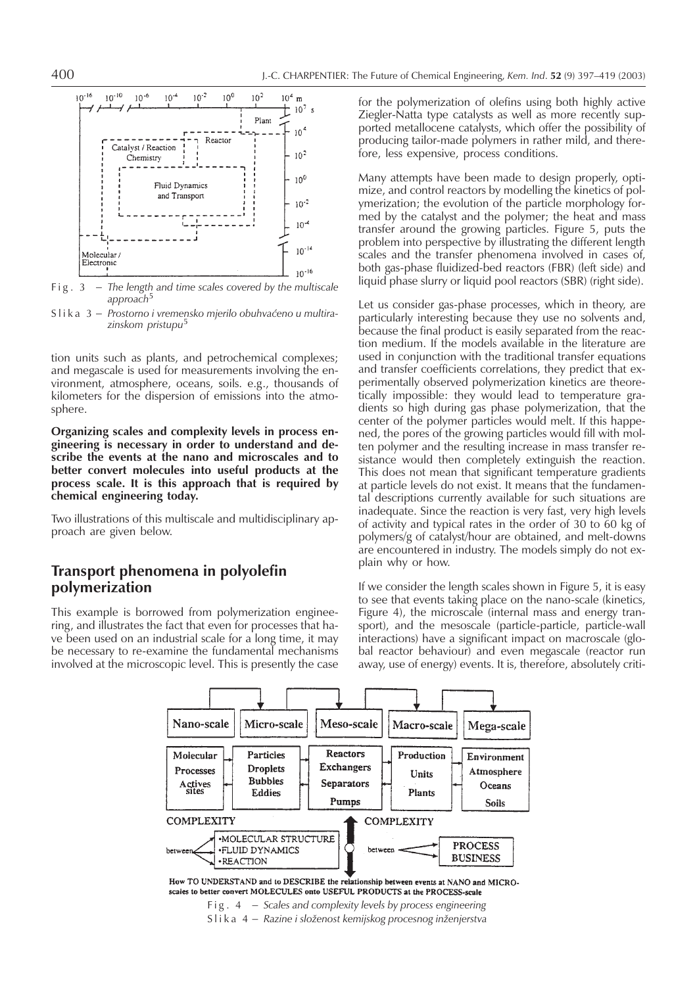

Fig. 3 – *The length and time scales covered by the multiscale* approach<sup>5</sup>

Slika 3 - Prostorno i vremensko mjerilo obuhvaćeno u multira*zinskom pristupu*<sup>5</sup>

tion units such as plants, and petrochemical complexes; and megascale is used for measurements involving the environment, atmosphere, oceans, soils. e.g., thousands of kilometers for the dispersion of emissions into the atmosphere.

**Organizing scales and complexity levels in process engineering is necessary in order to understand and describe the events at the nano and microscales and to better convert molecules into useful products at the process scale. It is this approach that is required by chemical engineering today.**

Two illustrations of this multiscale and multidisciplinary approach are given below.

# **Transport phenomena in polyolefin polymerization**

This example is borrowed from polymerization engineering, and illustrates the fact that even for processes that have been used on an industrial scale for a long time, it may be necessary to re-examine the fundamental mechanisms involved at the microscopic level. This is presently the case for the polymerization of olefins using both highly active Ziegler-Natta type catalysts as well as more recently supported metallocene catalysts, which offer the possibility of producing tailor-made polymers in rather mild, and therefore, less expensive, process conditions.

Many attempts have been made to design properly, optimize, and control reactors by modelling the kinetics of polymerization; the evolution of the particle morphology formed by the catalyst and the polymer; the heat and mass transfer around the growing particles. Figure 5, puts the problem into perspective by illustrating the different length scales and the transfer phenomena involved in cases of, both gas-phase fluidized-bed reactors (FBR) (left side) and liquid phase slurry or liquid pool reactors (SBR) (right side).

Let us consider gas-phase processes, which in theory, are particularly interesting because they use no solvents and, because the final product is easily separated from the reaction medium. If the models available in the literature are used in conjunction with the traditional transfer equations and transfer coefficients correlations, they predict that experimentally observed polymerization kinetics are theoretically impossible: they would lead to temperature gradients so high during gas phase polymerization, that the center of the polymer particles would melt. If this happened, the pores of the growing particles would fill with molten polymer and the resulting increase in mass transfer resistance would then completely extinguish the reaction. This does not mean that significant temperature gradients at particle levels do not exist. It means that the fundamental descriptions currently available for such situations are inadequate. Since the reaction is very fast, very high levels of activity and typical rates in the order of 30 to 60 kg of polymers/g of catalyst/hour are obtained, and melt-downs are encountered in industry. The models simply do not explain why or how.

If we consider the length scales shown in Figure 5, it is easy to see that events taking place on the nano-scale (kinetics, Figure 4), the microscale (internal mass and energy transport), and the mesoscale (particle-particle, particle-wall interactions) have a significant impact on macroscale (global reactor behaviour) and even megascale (reactor run away, use of energy) events. It is, therefore, absolutely criti-

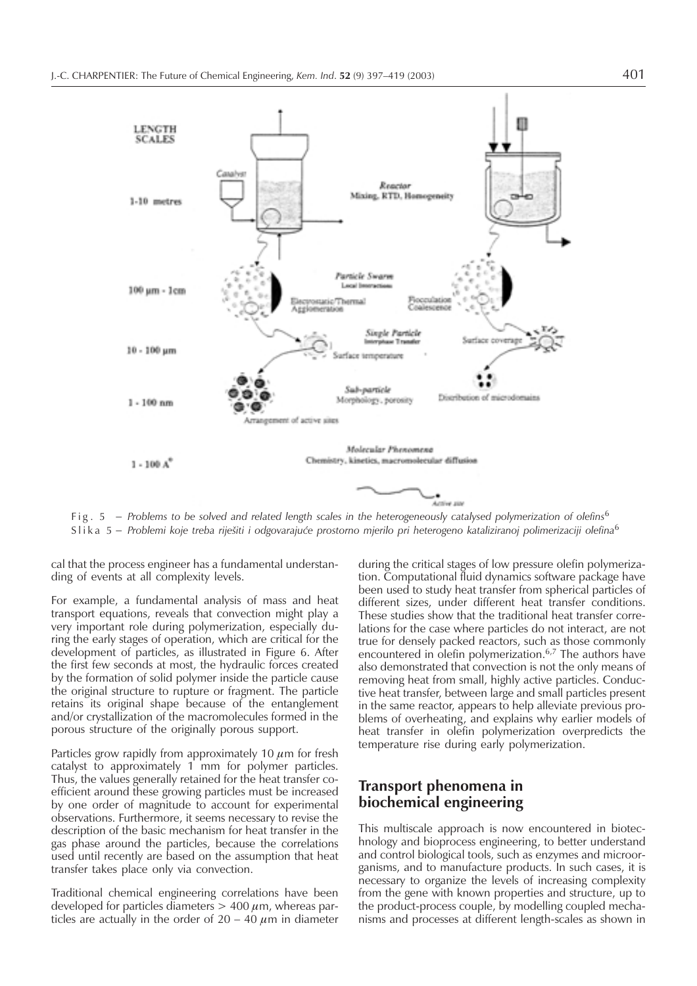

Fig. 5 – *Problems to be solved and related length scales in the heterogeneously catalysed polymerization of olefins*<sup>6</sup> Slika 5 – *Problemi koje treba riješiti i odgovarajuće prostorno mjerilo pri heterogeno kataliziranoj polimerizaciji olefina<sup>6</sup>* 

cal that the process engineer has a fundamental understanding of events at all complexity levels.

For example, a fundamental analysis of mass and heat transport equations, reveals that convection might play a very important role during polymerization, especially during the early stages of operation, which are critical for the development of particles, as illustrated in Figure 6. After the first few seconds at most, the hydraulic forces created by the formation of solid polymer inside the particle cause the original structure to rupture or fragment. The particle retains its original shape because of the entanglement and/or crystallization of the macromolecules formed in the porous structure of the originally porous support.

Particles grow rapidly from approximately 10  $\mu$ m for fresh catalyst to approximately 1 mm for polymer particles. Thus, the values generally retained for the heat transfer coefficient around these growing particles must be increased by one order of magnitude to account for experimental observations. Furthermore, it seems necessary to revise the description of the basic mechanism for heat transfer in the gas phase around the particles, because the correlations used until recently are based on the assumption that heat transfer takes place only via convection.

Traditional chemical engineering correlations have been developed for particles diameters  $>$  400  $\mu$ m, whereas particles are actually in the order of  $20 - 40 \mu m$  in diameter during the critical stages of low pressure olefin polymerization. Computational fluid dynamics software package have been used to study heat transfer from spherical particles of different sizes, under different heat transfer conditions. These studies show that the traditional heat transfer correlations for the case where particles do not interact, are not true for densely packed reactors, such as those commonly encountered in olefin polymerization.<sup>6,7</sup> The authors have also demonstrated that convection is not the only means of removing heat from small, highly active particles. Conductive heat transfer, between large and small particles present in the same reactor, appears to help alleviate previous problems of overheating, and explains why earlier models of heat transfer in olefin polymerization overpredicts the temperature rise during early polymerization.

# **Transport phenomena in biochemical engineering**

This multiscale approach is now encountered in biotechnology and bioprocess engineering, to better understand and control biological tools, such as enzymes and microorganisms, and to manufacture products. In such cases, it is necessary to organize the levels of increasing complexity from the gene with known properties and structure, up to the product-process couple, by modelling coupled mechanisms and processes at different length-scales as shown in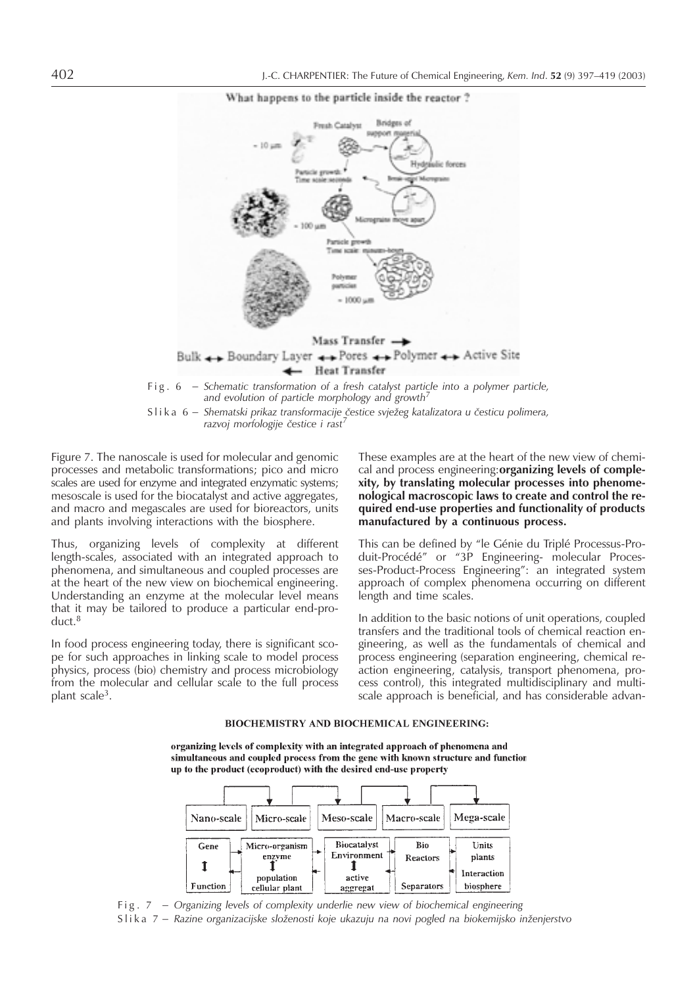

What happens to the particle inside the reactor?

Fig. 6 – *Schematic transformation of a fresh catalyst particle into a polymer particle, and evolution of particle morphology and growth*<sup>7</sup> Slika 6 – *Shematski prikaz transformacije čestice svježeg katalizatora u česticu polimera*,

*razvoj morfologije čestice i rast<sup>7</sup>* 

Figure 7. The nanoscale is used for molecular and genomic processes and metabolic transformations; pico and micro scales are used for enzyme and integrated enzymatic systems; mesoscale is used for the biocatalyst and active aggregates, and macro and megascales are used for bioreactors, units and plants involving interactions with the biosphere.

Thus, organizing levels of complexity at different length-scales, associated with an integrated approach to phenomena, and simultaneous and coupled processes are at the heart of the new view on biochemical engineering. Understanding an enzyme at the molecular level means that it may be tailored to produce a particular end-pro $duct.<sup>8</sup>$ 

In food process engineering today, there is significant scope for such approaches in linking scale to model process physics, process (bio) chemistry and process microbiology from the molecular and cellular scale to the full process plant scale $3$ .

These examples are at the heart of the new view of chemical and process engineering:**organizing levels of complexity, by translating molecular processes into phenomenological macroscopic laws to create and control the required end-use properties and functionality of products manufactured by a continuous process.**

This can be defined by "le Génie du Triplé Processus-Produit-Procédé" or "3P Engineering- molecular Processes-Product-Process Engineering": an integrated system approach of complex phenomena occurring on different length and time scales.

In addition to the basic notions of unit operations, coupled transfers and the traditional tools of chemical reaction engineering, as well as the fundamentals of chemical and process engineering (separation engineering, chemical reaction engineering, catalysis, transport phenomena, process control), this integrated multidisciplinary and multiscale approach is beneficial, and has considerable advan-

#### BIOCHEMISTRY AND BIOCHEMICAL ENGINEERING:

organizing levels of complexity with an integrated approach of phenomena and simultaneous and coupled process from the gene with known structure and function up to the product (ecoproduct) with the desired end-use property



Fig. 7 – *Organizing levels of complexity underlie new view of biochemical engineering* Slika 7 – *Razine organizacijske slo`enosti koje ukazuju na novi pogled na biokemijsko in`enjerstvo*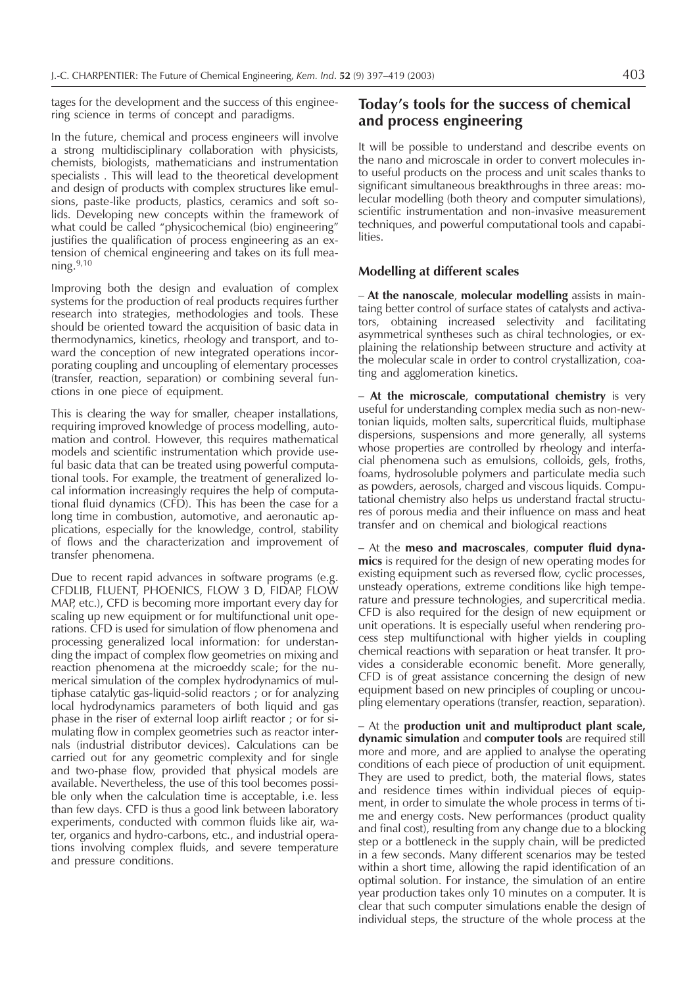tages for the development and the success of this engineering science in terms of concept and paradigms.

In the future, chemical and process engineers will involve a strong multidisciplinary collaboration with physicists, chemists, biologists, mathematicians and instrumentation specialists . This will lead to the theoretical development and design of products with complex structures like emulsions, paste-like products, plastics, ceramics and soft solids. Developing new concepts within the framework of what could be called "physicochemical (bio) engineering" justifies the qualification of process engineering as an extension of chemical engineering and takes on its full meaning. $9,10$ 

Improving both the design and evaluation of complex systems for the production of real products requires further research into strategies, methodologies and tools. These should be oriented toward the acquisition of basic data in thermodynamics, kinetics, rheology and transport, and toward the conception of new integrated operations incorporating coupling and uncoupling of elementary processes (transfer, reaction, separation) or combining several functions in one piece of equipment.

This is clearing the way for smaller, cheaper installations, requiring improved knowledge of process modelling, automation and control. However, this requires mathematical models and scientific instrumentation which provide useful basic data that can be treated using powerful computational tools. For example, the treatment of generalized local information increasingly requires the help of computational fluid dynamics (CFD). This has been the case for a long time in combustion, automotive, and aeronautic applications, especially for the knowledge, control, stability of flows and the characterization and improvement of transfer phenomena.

Due to recent rapid advances in software programs (e.g. CFDLIB, FLUENT, PHOENICS, FLOW 3 D, FIDAP, FLOW MAP, etc.), CFD is becoming more important every day for scaling up new equipment or for multifunctional unit operations. CFD is used for simulation of flow phenomena and processing generalized local information: for understanding the impact of complex flow geometries on mixing and reaction phenomena at the microeddy scale; for the numerical simulation of the complex hydrodynamics of multiphase catalytic gas-liquid-solid reactors ; or for analyzing local hydrodynamics parameters of both liquid and gas phase in the riser of external loop airlift reactor ; or for simulating flow in complex geometries such as reactor internals (industrial distributor devices). Calculations can be carried out for any geometric complexity and for single and two-phase flow, provided that physical models are available. Nevertheless, the use of this tool becomes possible only when the calculation time is acceptable, i.e. less than few days. CFD is thus a good link between laboratory experiments, conducted with common fluids like air, water, organics and hydro-carbons, etc., and industrial operations involving complex fluids, and severe temperature and pressure conditions.

# **Today's tools for the success of chemical and process engineering**

It will be possible to understand and describe events on the nano and microscale in order to convert molecules into useful products on the process and unit scales thanks to significant simultaneous breakthroughs in three areas: molecular modelling (both theory and computer simulations), scientific instrumentation and non-invasive measurement techniques, and powerful computational tools and capabilities.

## **Modelling at different scales**

– **At the nanoscale**, **molecular modelling** assists in maintaing better control of surface states of catalysts and activators, obtaining increased selectivity and facilitating asymmetrical syntheses such as chiral technologies, or explaining the relationship between structure and activity at the molecular scale in order to control crystallization, coating and agglomeration kinetics.

– **At the microscale**, **computational chemistry** is very useful for understanding complex media such as non-newtonian liquids, molten salts, supercritical fluids, multiphase dispersions, suspensions and more generally, all systems whose properties are controlled by rheology and interfacial phenomena such as emulsions, colloids, gels, froths, foams, hydrosoluble polymers and particulate media such as powders, aerosols, charged and viscous liquids. Computational chemistry also helps us understand fractal structures of porous media and their influence on mass and heat transfer and on chemical and biological reactions

– At the **meso and macroscales**, **computer fluid dynamics** is required for the design of new operating modes for existing equipment such as reversed flow, cyclic processes, unsteady operations, extreme conditions like high temperature and pressure technologies, and supercritical media. CFD is also required for the design of new equipment or unit operations. It is especially useful when rendering process step multifunctional with higher yields in coupling chemical reactions with separation or heat transfer. It provides a considerable economic benefit. More generally, CFD is of great assistance concerning the design of new equipment based on new principles of coupling or uncoupling elementary operations (transfer, reaction, separation).

– At the **production unit and multiproduct plant scale, dynamic simulation** and **computer tools** are required still more and more, and are applied to analyse the operating conditions of each piece of production of unit equipment. They are used to predict, both, the material flows, states and residence times within individual pieces of equipment, in order to simulate the whole process in terms of time and energy costs. New performances (product quality and final cost), resulting from any change due to a blocking step or a bottleneck in the supply chain, will be predicted in a few seconds. Many different scenarios may be tested within a short time, allowing the rapid identification of an optimal solution. For instance, the simulation of an entire year production takes only 10 minutes on a computer. It is clear that such computer simulations enable the design of individual steps, the structure of the whole process at the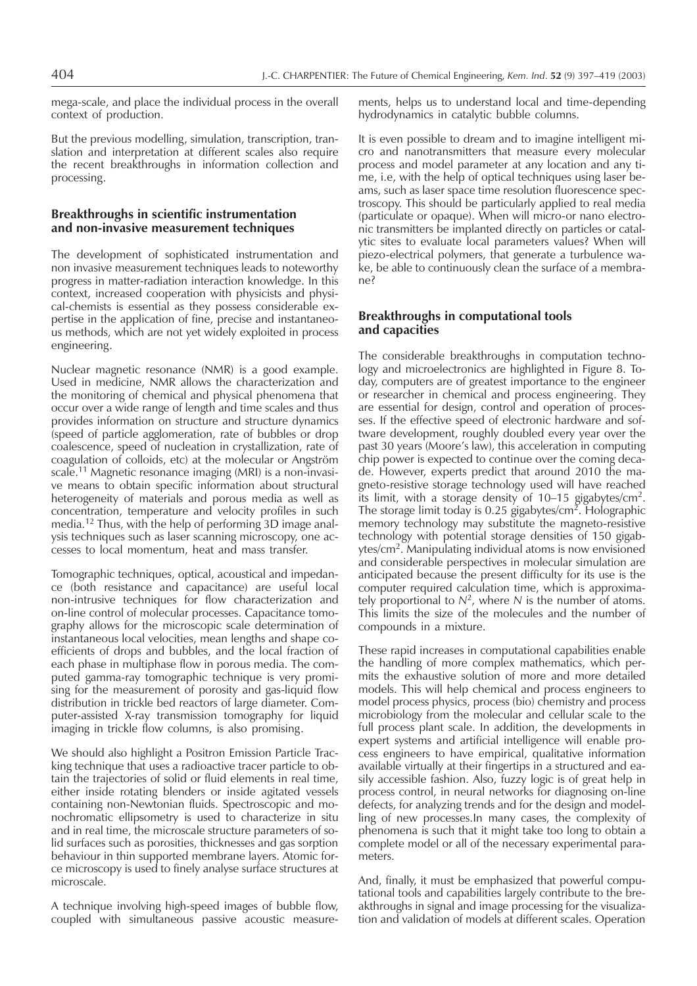mega-scale, and place the individual process in the overall context of production.

But the previous modelling, simulation, transcription, translation and interpretation at different scales also require the recent breakthroughs in information collection and processing.

# **Breakthroughs in scientific instrumentation and non-invasive measurement techniques**

The development of sophisticated instrumentation and non invasive measurement techniques leads to noteworthy progress in matter-radiation interaction knowledge. In this context, increased cooperation with physicists and physical-chemists is essential as they possess considerable expertise in the application of fine, precise and instantaneous methods, which are not yet widely exploited in process engineering.

Nuclear magnetic resonance (NMR) is a good example. Used in medicine, NMR allows the characterization and the monitoring of chemical and physical phenomena that occur over a wide range of length and time scales and thus provides information on structure and structure dynamics (speed of particle agglomeration, rate of bubbles or drop coalescence, speed of nucleation in crystallization, rate of coagulation of colloids, etc) at the molecular or Angström scale.<sup>11</sup> Magnetic resonance imaging (MRI) is a non-invasive means to obtain specific information about structural heterogeneity of materials and porous media as well as concentration, temperature and velocity profiles in such media.<sup>12</sup> Thus, with the help of performing 3D image analysis techniques such as laser scanning microscopy, one accesses to local momentum, heat and mass transfer.

Tomographic techniques, optical, acoustical and impedance (both resistance and capacitance) are useful local non-intrusive techniques for flow characterization and on-line control of molecular processes. Capacitance tomography allows for the microscopic scale determination of instantaneous local velocities, mean lengths and shape coefficients of drops and bubbles, and the local fraction of each phase in multiphase flow in porous media. The computed gamma-ray tomographic technique is very promising for the measurement of porosity and gas-liquid flow distribution in trickle bed reactors of large diameter. Computer-assisted X-ray transmission tomography for liquid imaging in trickle flow columns, is also promising.

We should also highlight a Positron Emission Particle Tracking technique that uses a radioactive tracer particle to obtain the trajectories of solid or fluid elements in real time, either inside rotating blenders or inside agitated vessels containing non-Newtonian fluids. Spectroscopic and monochromatic ellipsometry is used to characterize in situ and in real time, the microscale structure parameters of solid surfaces such as porosities, thicknesses and gas sorption behaviour in thin supported membrane layers. Atomic force microscopy is used to finely analyse surface structures at microscale.

A technique involving high-speed images of bubble flow, coupled with simultaneous passive acoustic measurements, helps us to understand local and time-depending hydrodynamics in catalytic bubble columns.

It is even possible to dream and to imagine intelligent micro and nanotransmitters that measure every molecular process and model parameter at any location and any time, i.e, with the help of optical techniques using laser beams, such as laser space time resolution fluorescence spectroscopy. This should be particularly applied to real media (particulate or opaque). When will micro-or nano electronic transmitters be implanted directly on particles or catalytic sites to evaluate local parameters values? When will piezo-electrical polymers, that generate a turbulence wake, be able to continuously clean the surface of a membrane?

# **Breakthroughs in computational tools and capacities**

The considerable breakthroughs in computation technology and microelectronics are highlighted in Figure 8. Today, computers are of greatest importance to the engineer or researcher in chemical and process engineering. They are essential for design, control and operation of processes. If the effective speed of electronic hardware and software development, roughly doubled every year over the past 30 years (Moore's law), this acceleration in computing chip power is expected to continue over the coming decade. However, experts predict that around 2010 the magneto-resistive storage technology used will have reached its limit, with a storage density of 10–15 gigabytes/cm2. The storage limit today is 0.25 gigabytes/cm<sup>2</sup>. Holographic memory technology may substitute the magneto-resistive technology with potential storage densities of 150 gigabytes/cm2. Manipulating individual atoms is now envisioned and considerable perspectives in molecular simulation are anticipated because the present difficulty for its use is the computer required calculation time, which is approximately proportional to  $N^2$ , where N is the number of atoms. This limits the size of the molecules and the number of compounds in a mixture.

These rapid increases in computational capabilities enable the handling of more complex mathematics, which permits the exhaustive solution of more and more detailed models. This will help chemical and process engineers to model process physics, process (bio) chemistry and process microbiology from the molecular and cellular scale to the full process plant scale. In addition, the developments in expert systems and artificial intelligence will enable process engineers to have empirical, qualitative information available virtually at their fingertips in a structured and easily accessible fashion. Also, fuzzy logic is of great help in process control, in neural networks for diagnosing on-line defects, for analyzing trends and for the design and modelling of new processes.In many cases, the complexity of phenomena is such that it might take too long to obtain a complete model or all of the necessary experimental parameters.

And, finally, it must be emphasized that powerful computational tools and capabilities largely contribute to the breakthroughs in signal and image processing for the visualization and validation of models at different scales. Operation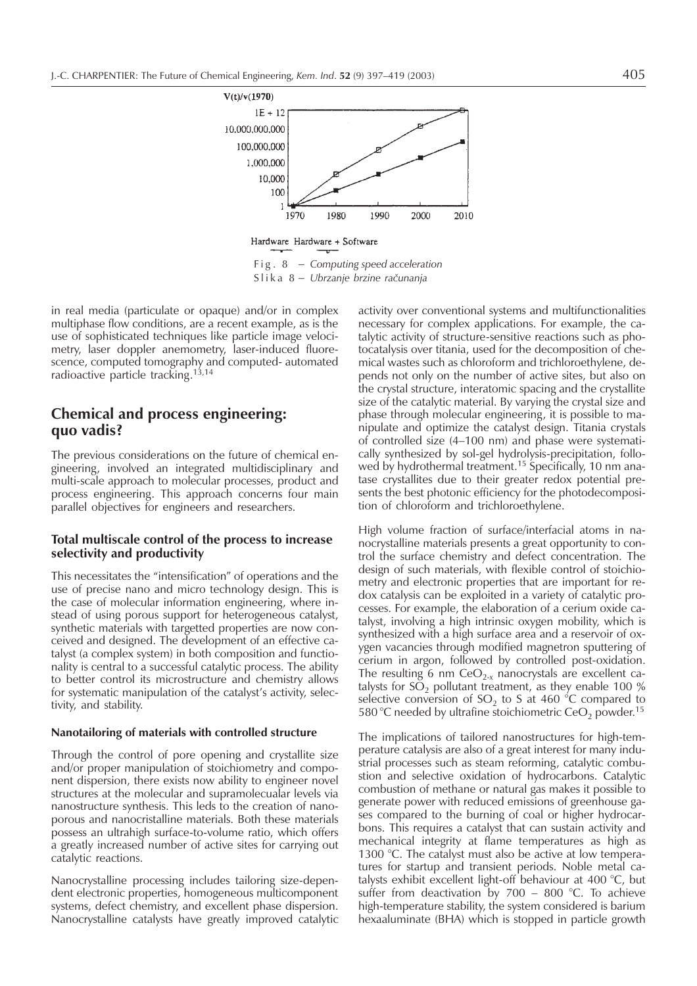

Hardware Hardware + Software

Fig. 8 – *Computing speed acceleration* Slika 8 – *Ubrzanje brzine računanja* 

in real media (particulate or opaque) and/or in complex multiphase flow conditions, are a recent example, as is the use of sophisticated techniques like particle image velocimetry, laser doppler anemometry, laser-induced fluorescence, computed tomography and computed- automated radioactive particle tracking.<sup>13,14</sup>

# **Chemical and process engineering: quo vadis?**

The previous considerations on the future of chemical engineering, involved an integrated multidisciplinary and multi-scale approach to molecular processes, product and process engineering. This approach concerns four main parallel objectives for engineers and researchers.

## **Total multiscale control of the process to increase selectivity and productivity**

This necessitates the "intensification" of operations and the use of precise nano and micro technology design. This is the case of molecular information engineering, where instead of using porous support for heterogeneous catalyst, synthetic materials with targetted properties are now conceived and designed. The development of an effective catalyst (a complex system) in both composition and functionality is central to a successful catalytic process. The ability to better control its microstructure and chemistry allows for systematic manipulation of the catalyst's activity, selectivity, and stability.

#### **Nanotailoring of materials with controlled structure**

Through the control of pore opening and crystallite size and/or proper manipulation of stoichiometry and component dispersion, there exists now ability to engineer novel structures at the molecular and supramolecualar levels via nanostructure synthesis. This leds to the creation of nanoporous and nanocristalline materials. Both these materials possess an ultrahigh surface-to-volume ratio, which offers a greatly increased number of active sites for carrying out catalytic reactions.

Nanocrystalline processing includes tailoring size-dependent electronic properties, homogeneous multicomponent systems, defect chemistry, and excellent phase dispersion. Nanocrystalline catalysts have greatly improved catalytic activity over conventional systems and multifunctionalities necessary for complex applications. For example, the catalytic activity of structure-sensitive reactions such as photocatalysis over titania, used for the decomposition of chemical wastes such as chloroform and trichloroethylene, depends not only on the number of active sites, but also on the crystal structure, interatomic spacing and the crystallite size of the catalytic material. By varying the crystal size and phase through molecular engineering, it is possible to manipulate and optimize the catalyst design. Titania crystals of controlled size (4–100 nm) and phase were systematically synthesized by sol-gel hydrolysis-precipitation, followed by hydrothermal treatment.<sup>15</sup> Specifically, 10 nm anatase crystallites due to their greater redox potential presents the best photonic efficiency for the photodecomposition of chloroform and trichloroethylene.

High volume fraction of surface/interfacial atoms in nanocrystalline materials presents a great opportunity to control the surface chemistry and defect concentration. The design of such materials, with flexible control of stoichiometry and electronic properties that are important for redox catalysis can be exploited in a variety of catalytic processes. For example, the elaboration of a cerium oxide catalyst, involving a high intrinsic oxygen mobility, which is synthesized with a high surface area and a reservoir of oxygen vacancies through modified magnetron sputtering of cerium in argon, followed by controlled post-oxidation. The resulting 6 nm  $CeO<sub>2-x</sub>$  nanocrystals are excellent catalysts for  $SO<sub>2</sub>$  pollutant treatment, as they enable 100 % selective conversion of  $SO<sub>2</sub>$  to S at 460  $^{\circ}$ C compared to 580 °C needed by ultrafine stoichiometric CeO<sub>2</sub> powder.<sup>15</sup>

The implications of tailored nanostructures for high-temperature catalysis are also of a great interest for many industrial processes such as steam reforming, catalytic combustion and selective oxidation of hydrocarbons. Catalytic combustion of methane or natural gas makes it possible to generate power with reduced emissions of greenhouse gases compared to the burning of coal or higher hydrocarbons. This requires a catalyst that can sustain activity and mechanical integrity at flame temperatures as high as 1300 °C. The catalyst must also be active at low temperatures for startup and transient periods. Noble metal catalysts exhibit excellent light-off behaviour at 400 °C, but suffer from deactivation by  $700 - 800$  °C. To achieve high-temperature stability, the system considered is barium hexaaluminate (BHA) which is stopped in particle growth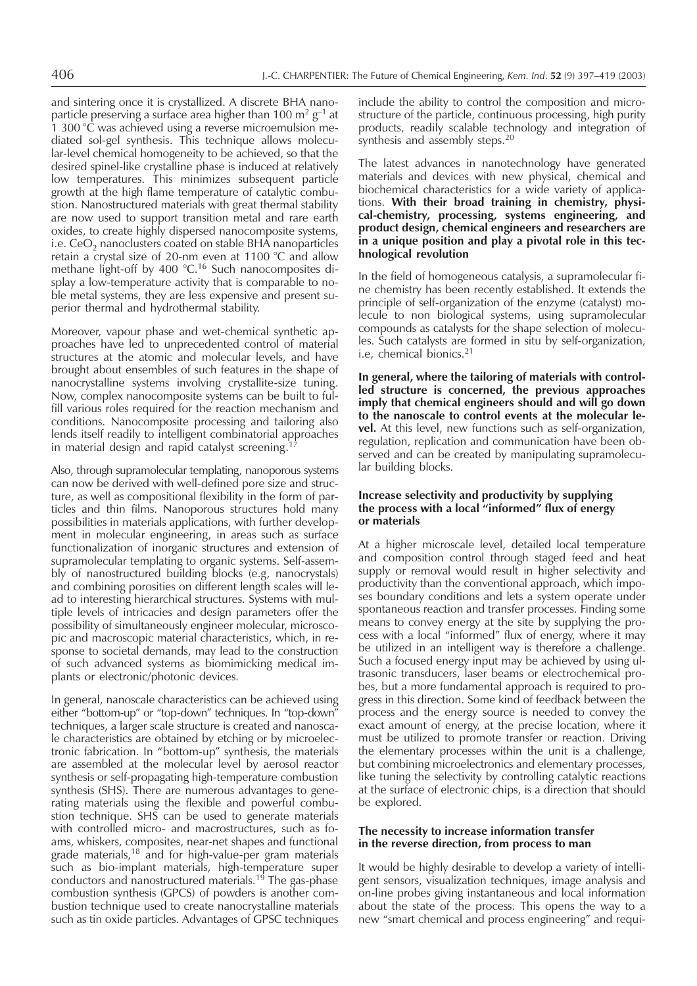and sintering once it is crystallized. A discrete BHA nanoparticle preserving a surface area higher than 100  $\mathrm{m}^2$  g<sup>-1</sup> at 1 300 °C was achieved using a reverse microemulsion mediated sol-gel synthesis. This technique allows molecular-level chemical homogeneity to be achieved, so that the desired spinel-like crystalline phase is induced at relatively low temperatures. This minimizes subsequent particle growth at the high flame temperature of catalytic combustion. Nanostructured materials with great thermal stability are now used to support transition metal and rare earth oxides, to create highly dispersed nanocomposite systems, i.e.  $CeO<sub>2</sub>$  nanoclusters coated on stable BHA nanoparticles retain a crystal size of 20-nm even at 1100 °C and allow methane light-off by 400 °C.<sup>16</sup> Such nanocomposites display a low-temperature activity that is comparable to noble metal systems, they are less expensive and present superior thermal and hydrothermal stability.

Moreover, vapour phase and wet-chemical synthetic approaches have led to unprecedented control of material structures at the atomic and molecular levels, and have brought about ensembles of such features in the shape of nanocrystalline systems involving crystallite-size tuning. Now, complex nanocomposite systems can be built to fulfill various roles required for the reaction mechanism and conditions. Nanocomposite processing and tailoring also lends itself readily to intelligent combinatorial approaches in material design and rapid catalyst screening.

Also, through supramolecular templating, nanoporous systems can now be derived with well-defined pore size and structure, as well as compositional flexibility in the form of particles and thin films. Nanoporous structures hold many possibilities in materials applications, with further development in molecular engineering, in areas such as surface functionalization of inorganic structures and extension of supramolecular templating to organic systems. Self-assembly of nanostructured building blocks (e.g, nanocrystals) and combining porosities on different length scales will lead to interesting hierarchical structures. Systems with multiple levels of intricacies and design parameters offer the possibility of simultaneously engineer molecular, microscopic and macroscopic material characteristics, which, in response to societal demands, may lead to the construction of such advanced systems as biomimicking medical implants or electronic/photonic devices.

In general, nanoscale characteristics can be achieved using either "bottom-up" or "top-down" techniques. In "top-down" techniques, a larger scale structure is created and nanoscale characteristics are obtained by etching or by microelectronic fabrication. In "bottom-up" synthesis, the materials are assembled at the molecular level by aerosol reactor synthesis or self-propagating high-temperature combustion synthesis (SHS). There are numerous advantages to generating materials using the flexible and powerful combustion technique. SHS can be used to generate materials with controlled micro- and macrostructures, such as foams, whiskers, composites, near-net shapes and functional grade materials,<sup>18</sup> and for high-value-per gram materials such as bio-implant materials, high-temperature super conductors and nanostructured materials.<sup>19</sup> The gas-phase combustion synthesis (GPCS) of powders is another combustion technique used to create nanocrystalline materials such as tin oxide particles. Advantages of GPSC techniques

include the ability to control the composition and microstructure of the particle, continuous processing, high purity products, readily scalable technology and integration of synthesis and assembly steps.<sup>20</sup>

The latest advances in nanotechnology have generated materials and devices with new physical, chemical and biochemical characteristics for a wide variety of applications. **With their broad training in chemistry, physical-chemistry, processing, systems engineering, and product design, chemical engineers and researchers are in a unique position and play a pivotal role in this technological revolution**

In the field of homogeneous catalysis, a supramolecular fine chemistry has been recently established. It extends the principle of self-organization of the enzyme (catalyst) molecule to non biological systems, using supramolecular compounds as catalysts for the shape selection of molecules. Such catalysts are formed in situ by self-organization, i.e, chemical bionics.<sup>21</sup>

**In general, where the tailoring of materials with controlled structure is concerned, the previous approaches imply that chemical engineers should and will go down to the nanoscale to control events at the molecular level.** At this level, new functions such as self-organization, regulation, replication and communication have been observed and can be created by manipulating supramolecular building blocks.

## **Increase selectivity and productivity by supplying the process with a local "informed" flux of energy or materials**

At a higher microscale level, detailed local temperature and composition control through staged feed and heat supply or removal would result in higher selectivity and productivity than the conventional approach, which imposes boundary conditions and lets a system operate under spontaneous reaction and transfer processes. Finding some means to convey energy at the site by supplying the process with a local "informed" flux of energy, where it may be utilized in an intelligent way is therefore a challenge. Such a focused energy input may be achieved by using ultrasonic transducers, laser beams or electrochemical probes, but a more fundamental approach is required to progress in this direction. Some kind of feedback between the process and the energy source is needed to convey the exact amount of energy, at the precise location, where it must be utilized to promote transfer or reaction. Driving the elementary processes within the unit is a challenge, but combining microelectronics and elementary processes, like tuning the selectivity by controlling catalytic reactions at the surface of electronic chips, is a direction that should be explored.

## **The necessity to increase information transfer in the reverse direction, from process to man**

It would be highly desirable to develop a variety of intelligent sensors, visualization techniques, image analysis and on-line probes giving instantaneous and local information about the state of the process. This opens the way to a new "smart chemical and process engineering" and requi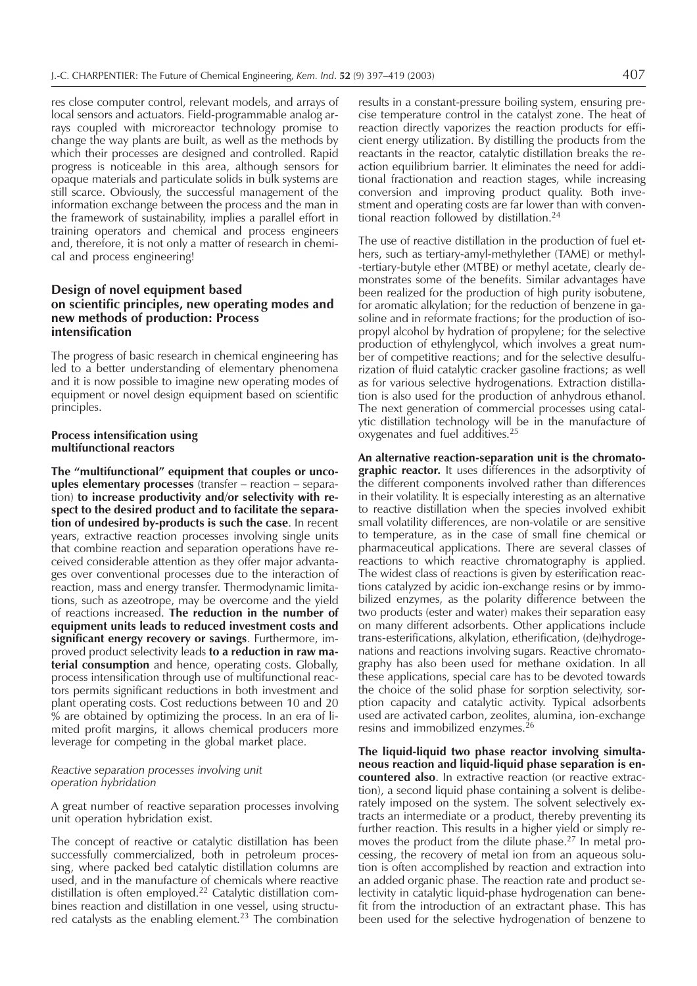res close computer control, relevant models, and arrays of local sensors and actuators. Field-programmable analog arrays coupled with microreactor technology promise to change the way plants are built, as well as the methods by which their processes are designed and controlled. Rapid progress is noticeable in this area, although sensors for opaque materials and particulate solids in bulk systems are still scarce. Obviously, the successful management of the information exchange between the process and the man in the framework of sustainability, implies a parallel effort in training operators and chemical and process engineers and, therefore, it is not only a matter of research in chemical and process engineering!

## **Design of novel equipment based on scientific principles, new operating modes and new methods of production: Process intensification**

The progress of basic research in chemical engineering has led to a better understanding of elementary phenomena and it is now possible to imagine new operating modes of equipment or novel design equipment based on scientific principles.

#### **Process intensification using multifunctional reactors**

**The "multifunctional" equipment that couples or uncouples elementary processes** (transfer – reaction – separation) **to increase productivity and/or selectivity with respect to the desired product and to facilitate the separation of undesired by-products is such the case**. In recent years, extractive reaction processes involving single units that combine reaction and separation operations have received considerable attention as they offer major advantages over conventional processes due to the interaction of reaction, mass and energy transfer. Thermodynamic limitations, such as azeotrope, may be overcome and the yield of reactions increased. **The reduction in the number of equipment units leads to reduced investment costs and significant energy recovery or savings**. Furthermore, improved product selectivity leads **to a reduction in raw material consumption** and hence, operating costs. Globally, process intensification through use of multifunctional reactors permits significant reductions in both investment and plant operating costs. Cost reductions between 10 and 20 % are obtained by optimizing the process. In an era of limited profit margins, it allows chemical producers more leverage for competing in the global market place.

## *Reactive separation processes involving unit operation hybridation*

A great number of reactive separation processes involving unit operation hybridation exist.

The concept of reactive or catalytic distillation has been successfully commercialized, both in petroleum processing, where packed bed catalytic distillation columns are used, and in the manufacture of chemicals where reactive distillation is often employed.<sup>22</sup> Catalytic distillation combines reaction and distillation in one vessel, using structured catalysts as the enabling element.<sup>23</sup> The combination results in a constant-pressure boiling system, ensuring precise temperature control in the catalyst zone. The heat of reaction directly vaporizes the reaction products for efficient energy utilization. By distilling the products from the reactants in the reactor, catalytic distillation breaks the reaction equilibrium barrier. It eliminates the need for additional fractionation and reaction stages, while increasing conversion and improving product quality. Both investment and operating costs are far lower than with conventional reaction followed by distillation.<sup>24</sup>

The use of reactive distillation in the production of fuel ethers, such as tertiary-amyl-methylether (TAME) or methyl- -tertiary-butyle ether (MTBE) or methyl acetate, clearly demonstrates some of the benefits. Similar advantages have been realized for the production of high purity isobutene, for aromatic alkylation; for the reduction of benzene in gasoline and in reformate fractions; for the production of isopropyl alcohol by hydration of propylene; for the selective production of ethylenglycol, which involves a great number of competitive reactions; and for the selective desulfurization of fluid catalytic cracker gasoline fractions; as well as for various selective hydrogenations. Extraction distillation is also used for the production of anhydrous ethanol. The next generation of commercial processes using catalytic distillation technology will be in the manufacture of oxygenates and fuel additives.<sup>25</sup>

**An alternative reaction-separation unit is the chromatographic reactor.** It uses differences in the adsorptivity of the different components involved rather than differences in their volatility. It is especially interesting as an alternative to reactive distillation when the species involved exhibit small volatility differences, are non-volatile or are sensitive to temperature, as in the case of small fine chemical or pharmaceutical applications. There are several classes of reactions to which reactive chromatography is applied. The widest class of reactions is given by esterification reactions catalyzed by acidic ion-exchange resins or by immobilized enzymes, as the polarity difference between the two products (ester and water) makes their separation easy on many different adsorbents. Other applications include trans-esterifications, alkylation, etherification, (de)hydrogenations and reactions involving sugars. Reactive chromatography has also been used for methane oxidation. In all these applications, special care has to be devoted towards the choice of the solid phase for sorption selectivity, sorption capacity and catalytic activity. Typical adsorbents used are activated carbon, zeolites, alumina, ion-exchange resins and immobilized enzymes. $^{26}$ 

**The liquid-liquid two phase reactor involving simultaneous reaction and liquid-liquid phase separation is encountered also**. In extractive reaction (or reactive extraction), a second liquid phase containing a solvent is deliberately imposed on the system. The solvent selectively extracts an intermediate or a product, thereby preventing its further reaction. This results in a higher yield or simply removes the product from the dilute phase.<sup>27</sup> In metal processing, the recovery of metal ion from an aqueous solution is often accomplished by reaction and extraction into an added organic phase. The reaction rate and product selectivity in catalytic liquid-phase hydrogenation can benefit from the introduction of an extractant phase. This has been used for the selective hydrogenation of benzene to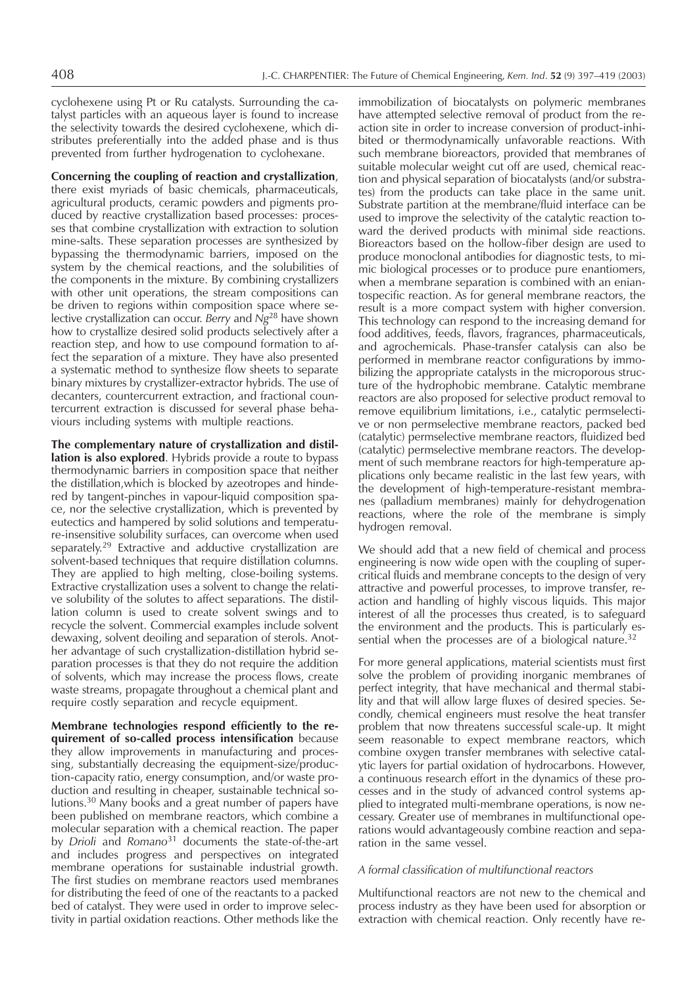cyclohexene using Pt or Ru catalysts. Surrounding the catalyst particles with an aqueous layer is found to increase the selectivity towards the desired cyclohexene, which distributes preferentially into the added phase and is thus prevented from further hydrogenation to cyclohexane.

**Concerning the coupling of reaction and crystallization**, there exist myriads of basic chemicals, pharmaceuticals, agricultural products, ceramic powders and pigments produced by reactive crystallization based processes: processes that combine crystallization with extraction to solution mine-salts. These separation processes are synthesized by bypassing the thermodynamic barriers, imposed on the system by the chemical reactions, and the solubilities of the components in the mixture. By combining crystallizers with other unit operations, the stream compositions can be driven to regions within composition space where selective crystallization can occur. *Berry* and *Ng*<sup>28</sup> have shown how to crystallize desired solid products selectively after a reaction step, and how to use compound formation to affect the separation of a mixture. They have also presented a systematic method to synthesize flow sheets to separate binary mixtures by crystallizer-extractor hybrids. The use of decanters, countercurrent extraction, and fractional countercurrent extraction is discussed for several phase behaviours including systems with multiple reactions.

**The complementary nature of crystallization and distillation is also explored**. Hybrids provide a route to bypass thermodynamic barriers in composition space that neither the distillation,which is blocked by azeotropes and hindered by tangent-pinches in vapour-liquid composition space, nor the selective crystallization, which is prevented by eutectics and hampered by solid solutions and temperature-insensitive solubility surfaces, can overcome when used separately.<sup>29</sup> Extractive and adductive crystallization are solvent-based techniques that require distillation columns. They are applied to high melting, close-boiling systems. Extractive crystallization uses a solvent to change the relative solubility of the solutes to affect separations. The distillation column is used to create solvent swings and to recycle the solvent. Commercial examples include solvent dewaxing, solvent deoiling and separation of sterols. Another advantage of such crystallization-distillation hybrid separation processes is that they do not require the addition of solvents, which may increase the process flows, create waste streams, propagate throughout a chemical plant and require costly separation and recycle equipment.

**Membrane technologies respond efficiently to the requirement of so-called process intensification** because they allow improvements in manufacturing and processing, substantially decreasing the equipment-size/production-capacity ratio, energy consumption, and/or waste production and resulting in cheaper, sustainable technical solutions.<sup>30</sup> Many books and a great number of papers have been published on membrane reactors, which combine a molecular separation with a chemical reaction. The paper by *Drioli* and *Romano*<sup>31</sup> documents the state-of-the-art and includes progress and perspectives on integrated membrane operations for sustainable industrial growth. The first studies on membrane reactors used membranes for distributing the feed of one of the reactants to a packed bed of catalyst. They were used in order to improve selectivity in partial oxidation reactions. Other methods like the

immobilization of biocatalysts on polymeric membranes have attempted selective removal of product from the reaction site in order to increase conversion of product-inhibited or thermodynamically unfavorable reactions. With such membrane bioreactors, provided that membranes of suitable molecular weight cut off are used, chemical reaction and physical separation of biocatalysts (and/or substrates) from the products can take place in the same unit. Substrate partition at the membrane/fluid interface can be used to improve the selectivity of the catalytic reaction toward the derived products with minimal side reactions. Bioreactors based on the hollow-fiber design are used to produce monoclonal antibodies for diagnostic tests, to mimic biological processes or to produce pure enantiomers, when a membrane separation is combined with an eniantospecific reaction. As for general membrane reactors, the result is a more compact system with higher conversion. This technology can respond to the increasing demand for food additives, feeds, flavors, fragrances, pharmaceuticals, and agrochemicals. Phase-transfer catalysis can also be performed in membrane reactor configurations by immobilizing the appropriate catalysts in the microporous structure of the hydrophobic membrane. Catalytic membrane reactors are also proposed for selective product removal to remove equilibrium limitations, i.e., catalytic permselective or non permselective membrane reactors, packed bed (catalytic) permselective membrane reactors, fluidized bed (catalytic) permselective membrane reactors. The development of such membrane reactors for high-temperature applications only became realistic in the last few years, with the development of high-temperature-resistant membranes (palladium membranes) mainly for dehydrogenation reactions, where the role of the membrane is simply hydrogen removal.

We should add that a new field of chemical and process engineering is now wide open with the coupling of supercritical fluids and membrane concepts to the design of very attractive and powerful processes, to improve transfer, reaction and handling of highly viscous liquids. This major interest of all the processes thus created, is to safeguard the environment and the products. This is particularly essential when the processes are of a biological nature.<sup>32</sup>

For more general applications, material scientists must first solve the problem of providing inorganic membranes of perfect integrity, that have mechanical and thermal stability and that will allow large fluxes of desired species. Secondly, chemical engineers must resolve the heat transfer problem that now threatens successful scale-up. It might seem reasonable to expect membrane reactors, which combine oxygen transfer membranes with selective catalytic layers for partial oxidation of hydrocarbons. However, a continuous research effort in the dynamics of these processes and in the study of advanced control systems applied to integrated multi-membrane operations, is now necessary. Greater use of membranes in multifunctional operations would advantageously combine reaction and separation in the same vessel.

#### *A formal classification of multifunctional reactors*

Multifunctional reactors are not new to the chemical and process industry as they have been used for absorption or extraction with chemical reaction. Only recently have re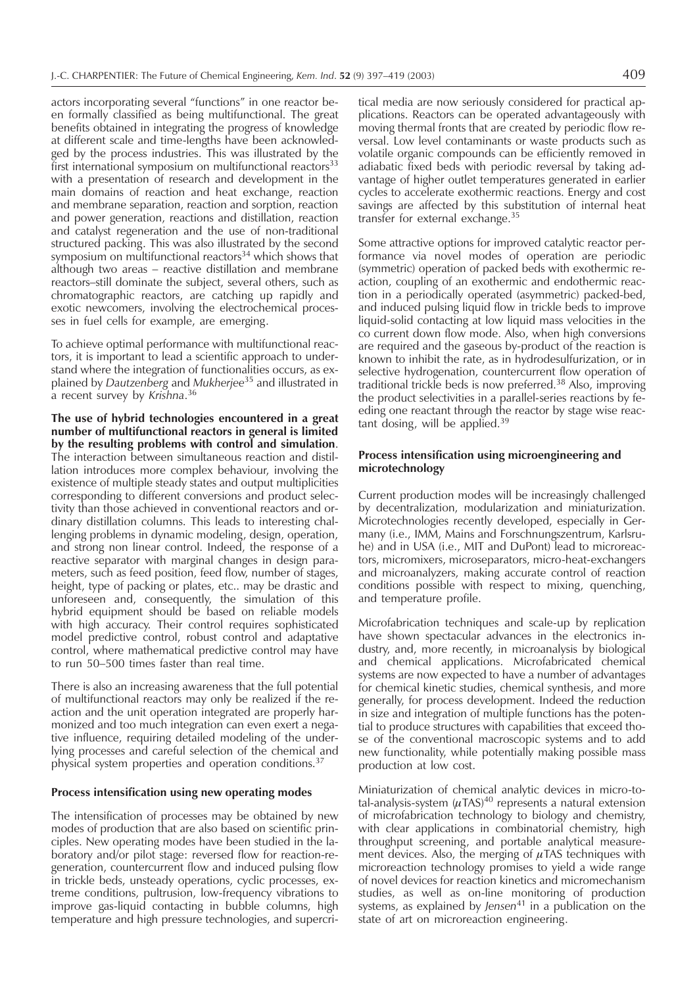actors incorporating several "functions" in one reactor been formally classified as being multifunctional. The great benefits obtained in integrating the progress of knowledge at different scale and time-lengths have been acknowledged by the process industries. This was illustrated by the first international symposium on multifunctional reactors $33$ with a presentation of research and development in the main domains of reaction and heat exchange, reaction and membrane separation, reaction and sorption, reaction and power generation, reactions and distillation, reaction and catalyst regeneration and the use of non-traditional structured packing. This was also illustrated by the second symposium on multifunctional reactors<sup>34</sup> which shows that although two areas – reactive distillation and membrane reactors–still dominate the subject, several others, such as chromatographic reactors, are catching up rapidly and exotic newcomers, involving the electrochemical processes in fuel cells for example, are emerging.

To achieve optimal performance with multifunctional reactors, it is important to lead a scientific approach to understand where the integration of functionalities occurs, as explained by *Dautzenberg* and *Mukherjee*<sup>35</sup> and illustrated in a recent survey by *Krishna*. 36

**The use of hybrid technologies encountered in a great number of multifunctional reactors in general is limited by the resulting problems with control and simulation**. The interaction between simultaneous reaction and distillation introduces more complex behaviour, involving the existence of multiple steady states and output multiplicities corresponding to different conversions and product selectivity than those achieved in conventional reactors and ordinary distillation columns. This leads to interesting challenging problems in dynamic modeling, design, operation, and strong non linear control. Indeed, the response of a reactive separator with marginal changes in design parameters, such as feed position, feed flow, number of stages, height, type of packing or plates, etc.. may be drastic and unforeseen and, consequently, the simulation of this hybrid equipment should be based on reliable models with high accuracy. Their control requires sophisticated model predictive control, robust control and adaptative control, where mathematical predictive control may have to run 50–500 times faster than real time.

There is also an increasing awareness that the full potential of multifunctional reactors may only be realized if the reaction and the unit operation integrated are properly harmonized and too much integration can even exert a negative influence, requiring detailed modeling of the underlying processes and careful selection of the chemical and physical system properties and operation conditions.<sup>37</sup>

## **Process intensification using new operating modes**

The intensification of processes may be obtained by new modes of production that are also based on scientific principles. New operating modes have been studied in the laboratory and/or pilot stage: reversed flow for reaction-regeneration, countercurrent flow and induced pulsing flow in trickle beds, unsteady operations, cyclic processes, extreme conditions, pultrusion, low-frequency vibrations to improve gas-liquid contacting in bubble columns, high temperature and high pressure technologies, and supercritical media are now seriously considered for practical applications. Reactors can be operated advantageously with moving thermal fronts that are created by periodic flow reversal. Low level contaminants or waste products such as volatile organic compounds can be efficiently removed in adiabatic fixed beds with periodic reversal by taking advantage of higher outlet temperatures generated in earlier cycles to accelerate exothermic reactions. Energy and cost savings are affected by this substitution of internal heat transfer for external exchange.<sup>35</sup>

Some attractive options for improved catalytic reactor performance via novel modes of operation are periodic (symmetric) operation of packed beds with exothermic reaction, coupling of an exothermic and endothermic reaction in a periodically operated (asymmetric) packed-bed, and induced pulsing liquid flow in trickle beds to improve liquid-solid contacting at low liquid mass velocities in the co current down flow mode. Also, when high conversions are required and the gaseous by-product of the reaction is known to inhibit the rate, as in hydrodesulfurization, or in selective hydrogenation, countercurrent flow operation of traditional trickle beds is now preferred.<sup>38</sup> Also, improving the product selectivities in a parallel-series reactions by feeding one reactant through the reactor by stage wise reactant dosing, will be applied.<sup>39</sup>

### **Process intensification using microengineering and microtechnology**

Current production modes will be increasingly challenged by decentralization, modularization and miniaturization. Microtechnologies recently developed, especially in Germany (i.e., IMM, Mains and Forschnungszentrum, Karlsruhe) and in USA (i.e., MIT and DuPont) lead to microreactors, micromixers, microseparators, micro-heat-exchangers and microanalyzers, making accurate control of reaction conditions possible with respect to mixing, quenching, and temperature profile.

Microfabrication techniques and scale-up by replication have shown spectacular advances in the electronics industry, and, more recently, in microanalysis by biological and chemical applications. Microfabricated chemical systems are now expected to have a number of advantages for chemical kinetic studies, chemical synthesis, and more generally, for process development. Indeed the reduction in size and integration of multiple functions has the potential to produce structures with capabilities that exceed those of the conventional macroscopic systems and to add new functionality, while potentially making possible mass production at low cost.

Miniaturization of chemical analytic devices in micro-total-analysis-system  $(\mu$ TAS)<sup>40</sup> represents a natural extension of microfabrication technology to biology and chemistry, with clear applications in combinatorial chemistry, high throughput screening, and portable analytical measurement devices. Also, the merging of  $\mu$ TAS techniques with microreaction technology promises to yield a wide range of novel devices for reaction kinetics and micromechanism studies, as well as on-line monitoring of production systems, as explained by *Jensen*<sup>41</sup> in a publication on the state of art on microreaction engineering.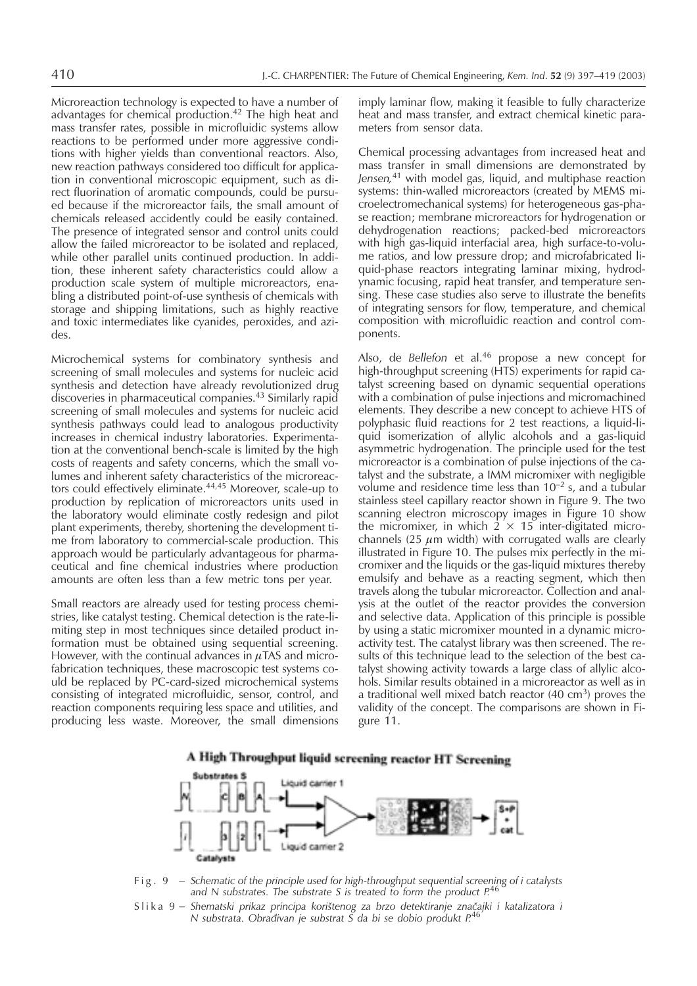Microreaction technology is expected to have a number of advantages for chemical production.<sup>42</sup> The high heat and mass transfer rates, possible in microfluidic systems allow reactions to be performed under more aggressive conditions with higher yields than conventional reactors. Also, new reaction pathways considered too difficult for application in conventional microscopic equipment, such as direct fluorination of aromatic compounds, could be pursued because if the microreactor fails, the small amount of chemicals released accidently could be easily contained. The presence of integrated sensor and control units could allow the failed microreactor to be isolated and replaced, while other parallel units continued production. In addition, these inherent safety characteristics could allow a production scale system of multiple microreactors, enabling a distributed point-of-use synthesis of chemicals with storage and shipping limitations, such as highly reactive and toxic intermediates like cyanides, peroxides, and azides.

Microchemical systems for combinatory synthesis and screening of small molecules and systems for nucleic acid synthesis and detection have already revolutionized drug discoveries in pharmaceutical companies.<sup>43</sup> Similarly rapid screening of small molecules and systems for nucleic acid synthesis pathways could lead to analogous productivity increases in chemical industry laboratories. Experimentation at the conventional bench-scale is limited by the high costs of reagents and safety concerns, which the small volumes and inherent safety characteristics of the microreactors could effectively eliminate.44,45 Moreover, scale-up to production by replication of microreactors units used in the laboratory would eliminate costly redesign and pilot plant experiments, thereby, shortening the development time from laboratory to commercial-scale production. This approach would be particularly advantageous for pharmaceutical and fine chemical industries where production amounts are often less than a few metric tons per year.

Small reactors are already used for testing process chemistries, like catalyst testing. Chemical detection is the rate-limiting step in most techniques since detailed product information must be obtained using sequential screening. However, with the continual advances in  $\mu$ TAS and microfabrication techniques, these macroscopic test systems could be replaced by PC-card-sized microchemical systems consisting of integrated microfluidic, sensor, control, and reaction components requiring less space and utilities, and producing less waste. Moreover, the small dimensions imply laminar flow, making it feasible to fully characterize heat and mass transfer, and extract chemical kinetic parameters from sensor data.

Chemical processing advantages from increased heat and mass transfer in small dimensions are demonstrated by *Jensen,*<sup>41</sup> with model gas, liquid, and multiphase reaction systems: thin-walled microreactors (created by MEMS microelectromechanical systems) for heterogeneous gas-phase reaction; membrane microreactors for hydrogenation or dehydrogenation reactions; packed-bed microreactors with high gas-liquid interfacial area, high surface-to-volume ratios, and low pressure drop; and microfabricated liquid-phase reactors integrating laminar mixing, hydrodynamic focusing, rapid heat transfer, and temperature sensing. These case studies also serve to illustrate the benefits of integrating sensors for flow, temperature, and chemical composition with microfluidic reaction and control components.

Also, de *Bellefon* et al.<sup>46</sup> propose a new concept for high-throughput screening (HTS) experiments for rapid catalyst screening based on dynamic sequential operations with a combination of pulse injections and micromachined elements. They describe a new concept to achieve HTS of polyphasic fluid reactions for 2 test reactions, a liquid-liquid isomerization of allylic alcohols and a gas-liquid asymmetric hydrogenation. The principle used for the test microreactor is a combination of pulse injections of the catalyst and the substrate, a IMM micromixer with negligible volume and residence time less than  $10^{-2}$  s, and a tubular stainless steel capillary reactor shown in Figure 9. The two scanning electron microscopy images in Figure 10 show the micromixer, in which  $2 \times 15$  inter-digitated microchannels (25  $\mu$ m width) with corrugated walls are clearly illustrated in Figure 10. The pulses mix perfectly in the micromixer and the liquids or the gas-liquid mixtures thereby emulsify and behave as a reacting segment, which then travels along the tubular microreactor. Collection and analysis at the outlet of the reactor provides the conversion and selective data. Application of this principle is possible by using a static micromixer mounted in a dynamic microactivity test. The catalyst library was then screened. The results of this technique lead to the selection of the best catalyst showing activity towards a large class of allylic alcohols. Similar results obtained in a microreactor as well as in a traditional well mixed batch reactor  $(40 \text{ cm}^3)$  proves the validity of the concept. The comparisons are shown in Figure 11.





- Fig. 9 *Schematic of the principle used for high-throughput sequential screening of i catalysts and N substrates. The substrate S is treated to form the product P.*<sup>46</sup>
- Slika 9 Shematski prikaz principa korištenog za brzo detektiranje značajki i katalizatora i *N substrata. Obra|ivan je substrat S da bi se dobio produkt P.*<sup>46</sup>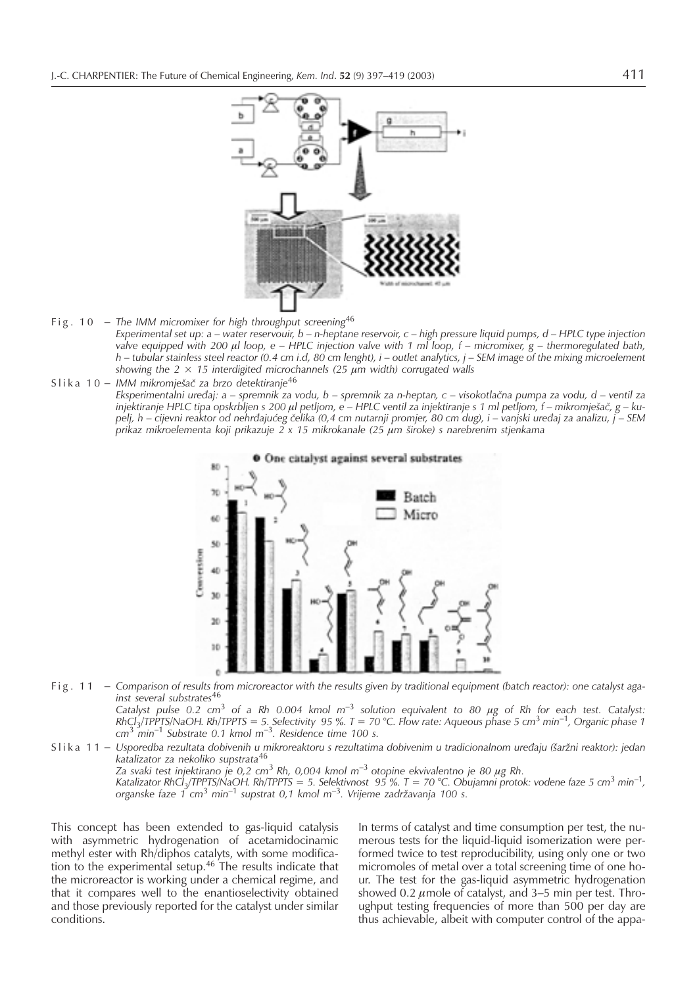

- Fig. 10 *The IMM micromixer for high throughput screening*<sup>46</sup>
	- *Experimental set up: a water reservouir, b n-heptane reservoir, c high pressure liquid pumps, d HPLC type injection* valve equipped with 200  $\mu$ l loop, e – HPLC injection valve with 1 ml loop, f – micromixer, g – thermoregulated bath, *h – tubular stainless steel reactor (0.4 cm i.d, 80 cm lenght), i – outlet analytics, j – SEM image of the mixing microelement showing the 2 × 15 interdigited microchannels (25 m width) corrugated walls*
- Slika 10 *IMM mikromješač za brzo detektiranje*<sup>46</sup> *Eksperimentalni ure|aj: a – spremnik za vodu, b – spremnik za n-heptan, c – visokotla~na pumpa za vodu, d – ventil za injektiranje HPLC tipa opskrbljen s 200 µl petljom, e – HPLC ventil za injektiranje s 1 ml petljom, f – mikromješač, g – kupelj, h – cijevni reaktor od nehrđajućeg čelika (0,4 cm nutarnji promjer, 80 cm dug), i – vanjski uređaj za analizu, j – SEM prikaz mikroelementa koji prikazuje 2 x 15 mikrokanale (25 m {iroke) s narebrenim stjenkama*



Fig. 11 – *Comparison of results from microreactor with the results given by traditional equipment (batch reactor): one catalyst against several substrates*<sup>46</sup>

*Catalyst pulse 0.2 cm*<sup>3</sup> *of a Rh 0.004 kmol m*–3 *solution equivalent to 80 g of Rh for each test. Catalyst: RhCl*3*/TPPTS/NaOH. Rh/TPPTS = 5. Selectivity 95 %. T = 70 °C. Flow rate: Aqueous phase 5 cm*<sup>3</sup> *min*–1*, Organic phase 1 cm*<sup>3</sup> *min*–1 *Substrate 0.1 kmol m*–3*. Residence time 100 s.*

Slika 11 – *Usporedba rezultata dobivenih u mikroreaktoru s rezultatima dobivenim u tradicionalnom uređaju (šaržni reaktor): jedan katalizator za nekoliko supstrata*<sup>46</sup> *Za svaki test injektirano je 0,2 cm*<sup>3</sup> *Rh, 0,004 kmol m*–3 *otopine ekvivalentno je 80 g Rh. Katalizator RhCl*3*/TPPTS/NaOH. Rh/TPPTS = 5. Selektivnost 95 %. T = 70 °C. Obujamni protok: vodene faze 5 cm*<sup>3</sup> *min*–1*, organske faze 1 cm*<sup>3</sup> *min*–1 *supstrat 0,1 kmol m*–3*. Vrijeme zadr`avanja 100 s.*

This concept has been extended to gas-liquid catalysis with asymmetric hydrogenation of acetamidocinamic methyl ester with Rh/diphos catalyts, with some modification to the experimental setup.<sup>46</sup> The results indicate that the microreactor is working under a chemical regime, and that it compares well to the enantioselectivity obtained and those previously reported for the catalyst under similar conditions.

In terms of catalyst and time consumption per test, the numerous tests for the liquid-liquid isomerization were performed twice to test reproducibility, using only one or two micromoles of metal over a total screening time of one hour. The test for the gas-liquid asymmetric hydrogenation showed 0.2  $\mu$  mole of catalyst, and 3–5 min per test. Throughput testing frequencies of more than 500 per day are thus achievable, albeit with computer control of the appa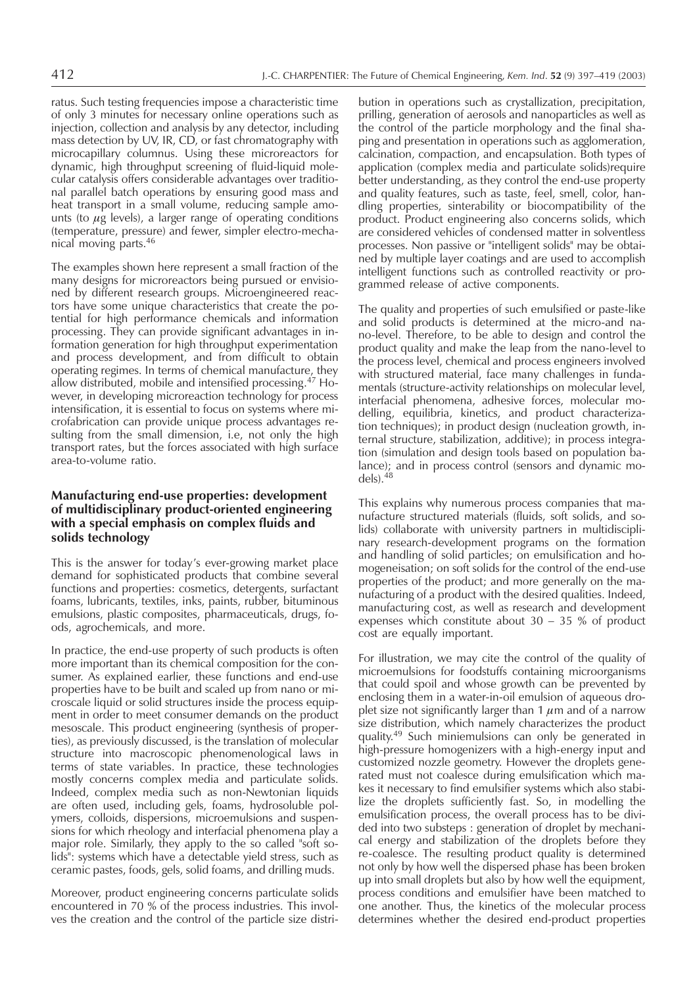ratus. Such testing frequencies impose a characteristic time of only 3 minutes for necessary online operations such as injection, collection and analysis by any detector, including mass detection by UV, IR, CD, or fast chromatography with microcapillary columnus. Using these microreactors for dynamic, high throughput screening of fluid-liquid molecular catalysis offers considerable advantages over traditional parallel batch operations by ensuring good mass and heat transport in a small volume, reducing sample amounts (to  $\mu$ g levels), a larger range of operating conditions (temperature, pressure) and fewer, simpler electro-mechanical moving parts.<sup>46</sup>

The examples shown here represent a small fraction of the many designs for microreactors being pursued or envisioned by different research groups. Microengineered reactors have some unique characteristics that create the potential for high performance chemicals and information processing. They can provide significant advantages in information generation for high throughput experimentation and process development, and from difficult to obtain operating regimes. In terms of chemical manufacture, they allow distributed, mobile and intensified processing.47 However, in developing microreaction technology for process intensification, it is essential to focus on systems where microfabrication can provide unique process advantages resulting from the small dimension, i.e, not only the high transport rates, but the forces associated with high surface area-to-volume ratio.

## **Manufacturing end-use properties: development of multidisciplinary product-oriented engineering with a special emphasis on complex fluids and solids technology**

This is the answer for today's ever-growing market place demand for sophisticated products that combine several functions and properties: cosmetics, detergents, surfactant foams, lubricants, textiles, inks, paints, rubber, bituminous emulsions, plastic composites, pharmaceuticals, drugs, foods, agrochemicals, and more.

In practice, the end-use property of such products is often more important than its chemical composition for the consumer. As explained earlier, these functions and end-use properties have to be built and scaled up from nano or microscale liquid or solid structures inside the process equipment in order to meet consumer demands on the product mesoscale. This product engineering (synthesis of properties), as previously discussed, is the translation of molecular structure into macroscopic phenomenological laws in terms of state variables. In practice, these technologies mostly concerns complex media and particulate solids. Indeed, complex media such as non-Newtonian liquids are often used, including gels, foams, hydrosoluble polymers, colloids, dispersions, microemulsions and suspensions for which rheology and interfacial phenomena play a major role. Similarly, they apply to the so called "soft solids": systems which have a detectable yield stress, such as ceramic pastes, foods, gels, solid foams, and drilling muds.

Moreover, product engineering concerns particulate solids encountered in 70 % of the process industries. This involves the creation and the control of the particle size distribution in operations such as crystallization, precipitation, prilling, generation of aerosols and nanoparticles as well as the control of the particle morphology and the final shaping and presentation in operations such as agglomeration, calcination, compaction, and encapsulation. Both types of application (complex media and particulate solids)require better understanding, as they control the end-use property and quality features, such as taste, feel, smell, color, handling properties, sinterability or biocompatibility of the product. Product engineering also concerns solids, which are considered vehicles of condensed matter in solventless processes. Non passive or "intelligent solids" may be obtained by multiple layer coatings and are used to accomplish intelligent functions such as controlled reactivity or programmed release of active components.

The quality and properties of such emulsified or paste-like and solid products is determined at the micro-and nano-level. Therefore, to be able to design and control the product quality and make the leap from the nano-level to the process level, chemical and process engineers involved with structured material, face many challenges in fundamentals (structure-activity relationships on molecular level, interfacial phenomena, adhesive forces, molecular modelling, equilibria, kinetics, and product characterization techniques); in product design (nucleation growth, internal structure, stabilization, additive); in process integration (simulation and design tools based on population balance); and in process control (sensors and dynamic models).<sup>48</sup>

This explains why numerous process companies that manufacture structured materials (fluids, soft solids, and solids) collaborate with university partners in multidisciplinary research-development programs on the formation and handling of solid particles; on emulsification and homogeneisation; on soft solids for the control of the end-use properties of the product; and more generally on the manufacturing of a product with the desired qualities. Indeed, manufacturing cost, as well as research and development expenses which constitute about  $30 - 35$  % of product cost are equally important.

For illustration, we may cite the control of the quality of microemulsions for foodstuffs containing microorganisms that could spoil and whose growth can be prevented by enclosing them in a water-in-oil emulsion of aqueous droplet size not significantly larger than 1  $\mu$ m and of a narrow size distribution, which namely characterizes the product quality.49 Such miniemulsions can only be generated in high-pressure homogenizers with a high-energy input and customized nozzle geometry. However the droplets generated must not coalesce during emulsification which makes it necessary to find emulsifier systems which also stabilize the droplets sufficiently fast. So, in modelling the emulsification process, the overall process has to be divided into two substeps : generation of droplet by mechanical energy and stabilization of the droplets before they re-coalesce. The resulting product quality is determined not only by how well the dispersed phase has been broken up into small droplets but also by how well the equipment, process conditions and emulsifier have been matched to one another. Thus, the kinetics of the molecular process determines whether the desired end-product properties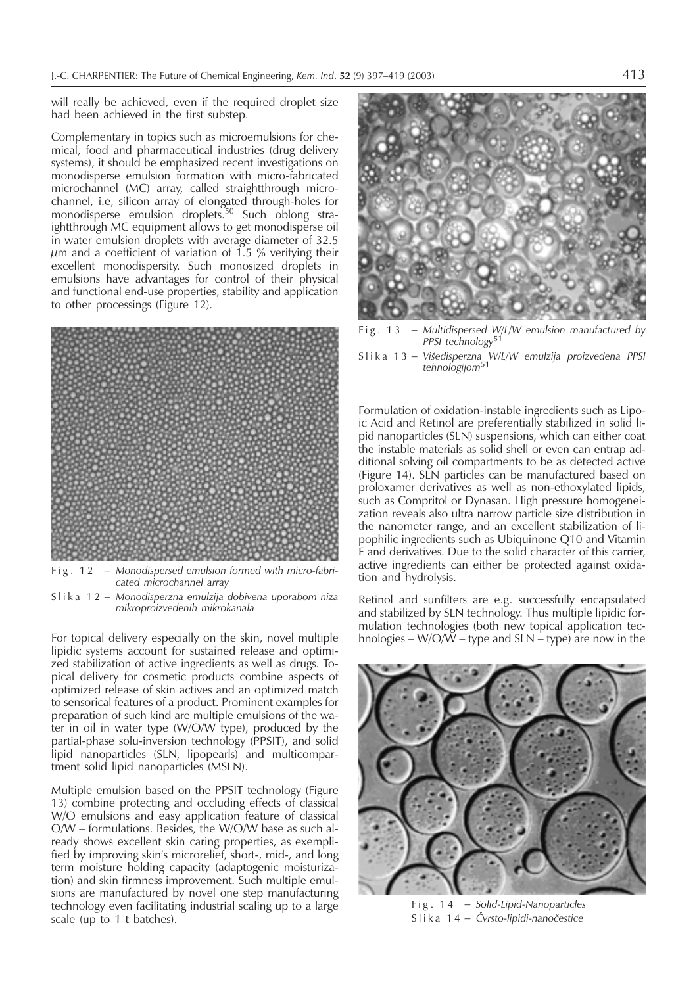will really be achieved, even if the required droplet size had been achieved in the first substep.

Complementary in topics such as microemulsions for chemical, food and pharmaceutical industries (drug delivery systems), it should be emphasized recent investigations on monodisperse emulsion formation with micro-fabricated microchannel (MC) array, called straightthrough microchannel, i.e, silicon array of elongated through-holes for monodisperse emulsion droplets.<sup>50</sup> Such oblong straightthrough MC equipment allows to get monodisperse oil in water emulsion droplets with average diameter of 32.5  $\mu$ m and a coefficient of variation of 1.5 % verifying their excellent monodispersity. Such monosized droplets in emulsions have advantages for control of their physical and functional end-use properties, stability and application to other processings (Figure 12).



Fig. 12 – *Monodispersed emulsion formed with micro-fabricated microchannel array* Slika 12 – *Monodisperzna emulzija dobivena uporabom niza*

*mikroproizvedenih mikrokanala*

For topical delivery especially on the skin, novel multiple lipidic systems account for sustained release and optimized stabilization of active ingredients as well as drugs. Topical delivery for cosmetic products combine aspects of optimized release of skin actives and an optimized match to sensorical features of a product. Prominent examples for preparation of such kind are multiple emulsions of the water in oil in water type (W/O/W type), produced by the partial-phase solu-inversion technology (PPSIT), and solid lipid nanoparticles (SLN, lipopearls) and multicompartment solid lipid nanoparticles (MSLN).

Multiple emulsion based on the PPSIT technology (Figure 13) combine protecting and occluding effects of classical W/O emulsions and easy application feature of classical O/W – formulations. Besides, the W/O/W base as such already shows excellent skin caring properties, as exemplified by improving skin's microrelief, short-, mid-, and long term moisture holding capacity (adaptogenic moisturization) and skin firmness improvement. Such multiple emulsions are manufactured by novel one step manufacturing technology even facilitating industrial scaling up to a large scale (up to 1 t batches).



Fig. 13 – *Multidispersed W/L/W emulsion manufactured by PPSI technology*<sup>51</sup>

Slika 13 – *Vi{edisperzna W/L/W emulzija proizvedena PPSI tehnologijom*<sup>51</sup>

Formulation of oxidation-instable ingredients such as Lipoic Acid and Retinol are preferentially stabilized in solid lipid nanoparticles (SLN) suspensions, which can either coat the instable materials as solid shell or even can entrap additional solving oil compartments to be as detected active (Figure 14). SLN particles can be manufactured based on proloxamer derivatives as well as non-ethoxylated lipids, such as Compritol or Dynasan. High pressure homogeneization reveals also ultra narrow particle size distribution in the nanometer range, and an excellent stabilization of lipophilic ingredients such as Ubiquinone Q10 and Vitamin E and derivatives. Due to the solid character of this carrier, active ingredients can either be protected against oxidation and hydrolysis.

Retinol and sunfilters are e.g. successfully encapsulated and stabilized by SLN technology. Thus multiple lipidic formulation technologies (both new topical application technologies – W/O/ $\dot{W}$  – type and SLN – type) are now in the



Fig. 14 – *Solid-Lipid-Nanoparticles* Slika 14 – Čvrsto-lipidi-nanočestice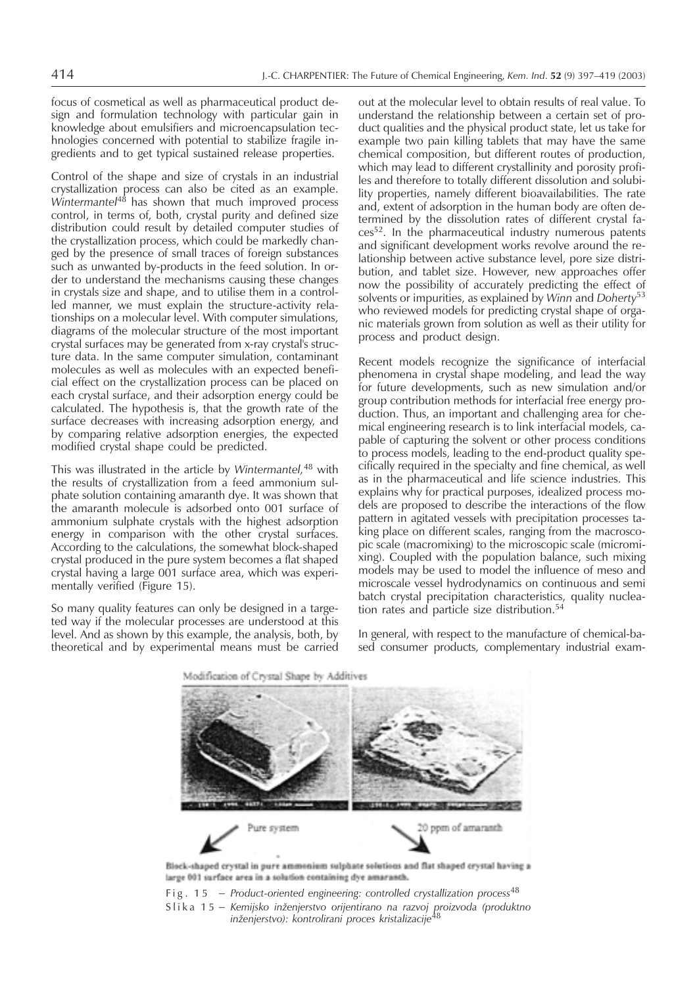focus of cosmetical as well as pharmaceutical product design and formulation technology with particular gain in knowledge about emulsifiers and microencapsulation technologies concerned with potential to stabilize fragile ingredients and to get typical sustained release properties.

Control of the shape and size of crystals in an industrial crystallization process can also be cited as an example. *Wintermantel*<sup>48</sup> has shown that much improved process control, in terms of, both, crystal purity and defined size distribution could result by detailed computer studies of the crystallization process, which could be markedly changed by the presence of small traces of foreign substances such as unwanted by-products in the feed solution. In order to understand the mechanisms causing these changes in crystals size and shape, and to utilise them in a controlled manner, we must explain the structure-activity relationships on a molecular level. With computer simulations, diagrams of the molecular structure of the most important crystal surfaces may be generated from x-ray crystal's structure data. In the same computer simulation, contaminant molecules as well as molecules with an expected beneficial effect on the crystallization process can be placed on each crystal surface, and their adsorption energy could be calculated. The hypothesis is, that the growth rate of the surface decreases with increasing adsorption energy, and by comparing relative adsorption energies, the expected modified crystal shape could be predicted.

This was illustrated in the article by *Wintermantel,*<sup>48</sup> with the results of crystallization from a feed ammonium sulphate solution containing amaranth dye. It was shown that the amaranth molecule is adsorbed onto 001 surface of ammonium sulphate crystals with the highest adsorption energy in comparison with the other crystal surfaces. According to the calculations, the somewhat block-shaped crystal produced in the pure system becomes a flat shaped crystal having a large 001 surface area, which was experimentally verified (Figure 15).

So many quality features can only be designed in a targeted way if the molecular processes are understood at this level. And as shown by this example, the analysis, both, by theoretical and by experimental means must be carried out at the molecular level to obtain results of real value. To understand the relationship between a certain set of product qualities and the physical product state, let us take for example two pain killing tablets that may have the same chemical composition, but different routes of production, which may lead to different crystallinity and porosity profiles and therefore to totally different dissolution and solubility properties, namely different bioavailabilities. The rate and, extent of adsorption in the human body are often determined by the dissolution rates of different crystal fa- $\cos^{52}$ . In the pharmaceutical industry numerous patents and significant development works revolve around the relationship between active substance level, pore size distribution, and tablet size. However, new approaches offer now the possibility of accurately predicting the effect of solvents or impurities, as explained by *Winn* and *Doherty*<sup>53</sup> who reviewed models for predicting crystal shape of organic materials grown from solution as well as their utility for process and product design.

Recent models recognize the significance of interfacial phenomena in crystal shape modeling, and lead the way for future developments, such as new simulation and/or group contribution methods for interfacial free energy production. Thus, an important and challenging area for chemical engineering research is to link interfacial models, capable of capturing the solvent or other process conditions to process models, leading to the end-product quality specifically required in the specialty and fine chemical, as well as in the pharmaceutical and life science industries. This explains why for practical purposes, idealized process models are proposed to describe the interactions of the flow pattern in agitated vessels with precipitation processes taking place on different scales, ranging from the macroscopic scale (macromixing) to the microscopic scale (micromixing). Coupled with the population balance, such mixing models may be used to model the influence of meso and microscale vessel hydrodynamics on continuous and semi batch crystal precipitation characteristics, quality nucleation rates and particle size distribution.<sup>54</sup>

In general, with respect to the manufacture of chemical-based consumer products, complementary industrial exam-

Modification of Crystal Shape by Additives



Block-shaped crystal in pure ammonium sulphate solutions and flat shaped crystal having a large 001 surface area in a solution containing dye amaranth.

Fig. 15 – *Product-oriented engineering: controlled crystallization process*<sup>48</sup> Slika 15 – *Kemijsko in`enjerstvo orijentirano na razvoj proizvoda (produktno in`enjerstvo): kontrolirani proces kristalizacije*<sup>48</sup>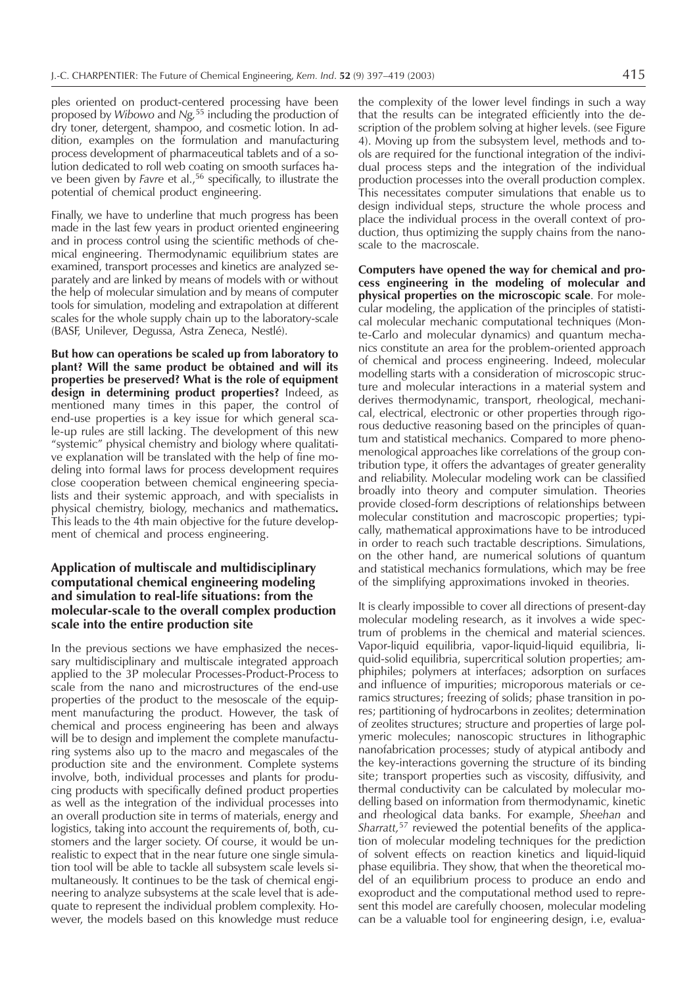ples oriented on product-centered processing have been proposed by *Wibowo* and *Ng,*<sup>55</sup> including the production of dry toner, detergent, shampoo, and cosmetic lotion. In addition, examples on the formulation and manufacturing process development of pharmaceutical tablets and of a solution dedicated to roll web coating on smooth surfaces have been given by *Favre* et al.,<sup>56</sup> specifically, to illustrate the potential of chemical product engineering.

Finally, we have to underline that much progress has been made in the last few years in product oriented engineering and in process control using the scientific methods of chemical engineering. Thermodynamic equilibrium states are examined, transport processes and kinetics are analyzed separately and are linked by means of models with or without the help of molecular simulation and by means of computer tools for simulation, modeling and extrapolation at different scales for the whole supply chain up to the laboratory-scale (BASF, Unilever, Degussa, Astra Zeneca, Nestlé).

**But how can operations be scaled up from laboratory to plant? Will the same product be obtained and will its properties be preserved? What is the role of equipment design in determining product properties?** Indeed, as mentioned many times in this paper, the control of end-use properties is a key issue for which general scale-up rules are still lacking. The development of this new "systemic" physical chemistry and biology where qualitative explanation will be translated with the help of fine modeling into formal laws for process development requires close cooperation between chemical engineering specialists and their systemic approach, and with specialists in physical chemistry, biology, mechanics and mathematics**.** This leads to the 4th main objective for the future development of chemical and process engineering.

## **Application of multiscale and multidisciplinary computational chemical engineering modeling and simulation to real-life situations: from the molecular-scale to the overall complex production scale into the entire production site**

In the previous sections we have emphasized the necessary multidisciplinary and multiscale integrated approach applied to the 3P molecular Processes-Product-Process to scale from the nano and microstructures of the end-use properties of the product to the mesoscale of the equipment manufacturing the product. However, the task of chemical and process engineering has been and always will be to design and implement the complete manufacturing systems also up to the macro and megascales of the production site and the environment. Complete systems involve, both, individual processes and plants for producing products with specifically defined product properties as well as the integration of the individual processes into an overall production site in terms of materials, energy and logistics, taking into account the requirements of, both, customers and the larger society. Of course, it would be unrealistic to expect that in the near future one single simulation tool will be able to tackle all subsystem scale levels simultaneously. It continues to be the task of chemical engineering to analyze subsystems at the scale level that is adequate to represent the individual problem complexity. However, the models based on this knowledge must reduce

the complexity of the lower level findings in such a way that the results can be integrated efficiently into the description of the problem solving at higher levels. (see Figure 4). Moving up from the subsystem level, methods and tools are required for the functional integration of the individual process steps and the integration of the individual production processes into the overall production complex. This necessitates computer simulations that enable us to design individual steps, structure the whole process and place the individual process in the overall context of production, thus optimizing the supply chains from the nanoscale to the macroscale.

**Computers have opened the way for chemical and process engineering in the modeling of molecular and physical properties on the microscopic scale**. For molecular modeling, the application of the principles of statistical molecular mechanic computational techniques (Monte-Carlo and molecular dynamics) and quantum mechanics constitute an area for the problem-oriented approach of chemical and process engineering. Indeed, molecular modelling starts with a consideration of microscopic structure and molecular interactions in a material system and derives thermodynamic, transport, rheological, mechanical, electrical, electronic or other properties through rigorous deductive reasoning based on the principles of quantum and statistical mechanics. Compared to more phenomenological approaches like correlations of the group contribution type, it offers the advantages of greater generality and reliability. Molecular modeling work can be classified broadly into theory and computer simulation. Theories provide closed-form descriptions of relationships between molecular constitution and macroscopic properties; typically, mathematical approximations have to be introduced in order to reach such tractable descriptions. Simulations, on the other hand, are numerical solutions of quantum and statistical mechanics formulations, which may be free of the simplifying approximations invoked in theories.

It is clearly impossible to cover all directions of present-day molecular modeling research, as it involves a wide spectrum of problems in the chemical and material sciences. Vapor-liquid equilibria, vapor-liquid-liquid equilibria, liquid-solid equilibria, supercritical solution properties; amphiphiles; polymers at interfaces; adsorption on surfaces and influence of impurities; microporous materials or ceramics structures; freezing of solids; phase transition in pores; partitioning of hydrocarbons in zeolites; determination of zeolites structures; structure and properties of large polymeric molecules; nanoscopic structures in lithographic nanofabrication processes; study of atypical antibody and the key-interactions governing the structure of its binding site; transport properties such as viscosity, diffusivity, and thermal conductivity can be calculated by molecular modelling based on information from thermodynamic, kinetic and rheological data banks. For example, *Sheehan* and *Sharratt,*<sup>57</sup> reviewed the potential benefits of the application of molecular modeling techniques for the prediction of solvent effects on reaction kinetics and liquid-liquid phase equilibria. They show, that when the theoretical model of an equilibrium process to produce an endo and exoproduct and the computational method used to represent this model are carefully choosen, molecular modeling can be a valuable tool for engineering design, i.e, evalua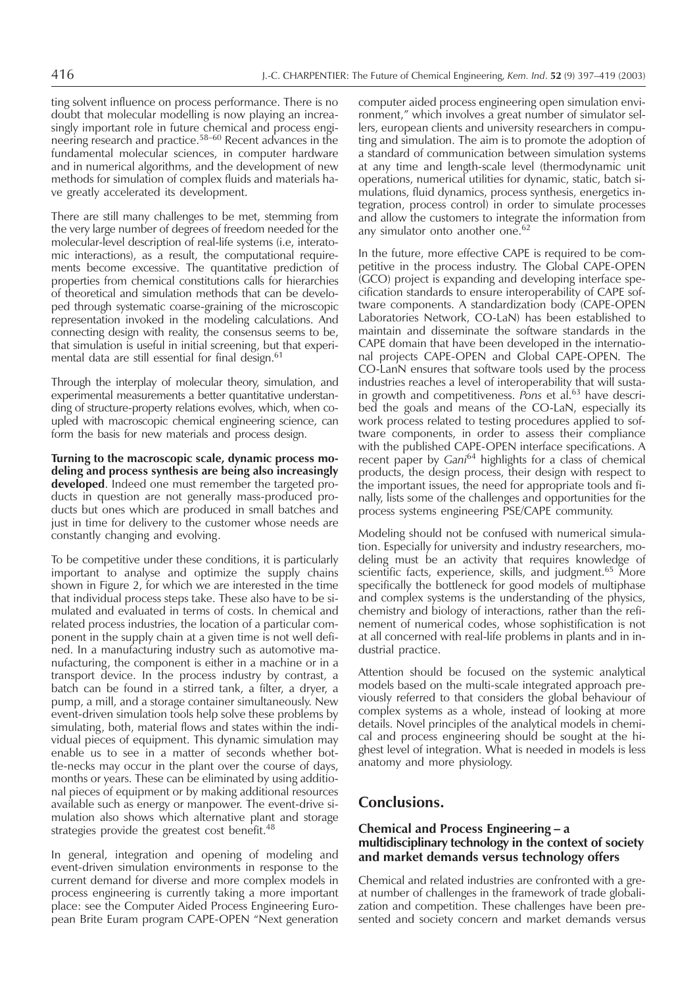ting solvent influence on process performance. There is no doubt that molecular modelling is now playing an increasingly important role in future chemical and process engineering research and practice.58–60 Recent advances in the fundamental molecular sciences, in computer hardware and in numerical algorithms, and the development of new methods for simulation of complex fluids and materials have greatly accelerated its development.

There are still many challenges to be met, stemming from the very large number of degrees of freedom needed for the molecular-level description of real-life systems (i.e, interatomic interactions), as a result, the computational requirements become excessive. The quantitative prediction of properties from chemical constitutions calls for hierarchies of theoretical and simulation methods that can be developed through systematic coarse-graining of the microscopic representation invoked in the modeling calculations. And connecting design with reality, the consensus seems to be, that simulation is useful in initial screening, but that experimental data are still essential for final design.<sup>61</sup>

Through the interplay of molecular theory, simulation, and experimental measurements a better quantitative understanding of structure-property relations evolves, which, when coupled with macroscopic chemical engineering science, can form the basis for new materials and process design.

**Turning to the macroscopic scale, dynamic process modeling and process synthesis are being also increasingly developed**. Indeed one must remember the targeted products in question are not generally mass-produced products but ones which are produced in small batches and just in time for delivery to the customer whose needs are constantly changing and evolving.

To be competitive under these conditions, it is particularly important to analyse and optimize the supply chains shown in Figure 2, for which we are interested in the time that individual process steps take. These also have to be simulated and evaluated in terms of costs. In chemical and related process industries, the location of a particular component in the supply chain at a given time is not well defined. In a manufacturing industry such as automotive manufacturing, the component is either in a machine or in a transport device. In the process industry by contrast, a batch can be found in a stirred tank, a filter, a dryer, a pump, a mill, and a storage container simultaneously. New event-driven simulation tools help solve these problems by simulating, both, material flows and states within the individual pieces of equipment. This dynamic simulation may enable us to see in a matter of seconds whether bottle-necks may occur in the plant over the course of days, months or years. These can be eliminated by using additional pieces of equipment or by making additional resources available such as energy or manpower. The event-drive simulation also shows which alternative plant and storage strategies provide the greatest cost benefit.<sup>48</sup>

In general, integration and opening of modeling and event-driven simulation environments in response to the current demand for diverse and more complex models in process engineering is currently taking a more important place: see the Computer Aided Process Engineering European Brite Euram program CAPE-OPEN "Next generation computer aided process engineering open simulation environment," which involves a great number of simulator sellers, european clients and university researchers in computing and simulation. The aim is to promote the adoption of a standard of communication between simulation systems at any time and length-scale level (thermodynamic unit operations, numerical utilities for dynamic, static, batch simulations, fluid dynamics, process synthesis, energetics integration, process control) in order to simulate processes and allow the customers to integrate the information from any simulator onto another one.<sup>62</sup>

In the future, more effective CAPE is required to be competitive in the process industry. The Global CAPE-OPEN (GCO) project is expanding and developing interface specification standards to ensure interoperability of CAPE software components. A standardization body (CAPE-OPEN Laboratories Network, CO-LaN) has been established to maintain and disseminate the software standards in the CAPE domain that have been developed in the international projects CAPE-OPEN and Global CAPE-OPEN. The CO-LanN ensures that software tools used by the process industries reaches a level of interoperability that will sustain growth and competitiveness. *Pons* et al.<sup>63</sup> have described the goals and means of the CO-LaN, especially its work process related to testing procedures applied to software components, in order to assess their compliance with the published CAPE-OPEN interface specifications. A recent paper by *Gani*<sup>64</sup> highlights for a class of chemical products, the design process, their design with respect to the important issues, the need for appropriate tools and finally, lists some of the challenges and opportunities for the process systems engineering PSE/CAPE community.

Modeling should not be confused with numerical simulation. Especially for university and industry researchers, modeling must be an activity that requires knowledge of scientific facts, experience, skills, and judgment.<sup>65</sup> More specifically the bottleneck for good models of multiphase and complex systems is the understanding of the physics, chemistry and biology of interactions, rather than the refinement of numerical codes, whose sophistification is not at all concerned with real-life problems in plants and in industrial practice.

Attention should be focused on the systemic analytical models based on the multi-scale integrated approach previously referred to that considers the global behaviour of complex systems as a whole, instead of looking at more details. Novel principles of the analytical models in chemical and process engineering should be sought at the highest level of integration. What is needed in models is less anatomy and more physiology.

# **Conclusions.**

## **Chemical and Process Engineering – a multidisciplinary technology in the context of society and market demands versus technology offers**

Chemical and related industries are confronted with a great number of challenges in the framework of trade globalization and competition. These challenges have been presented and society concern and market demands versus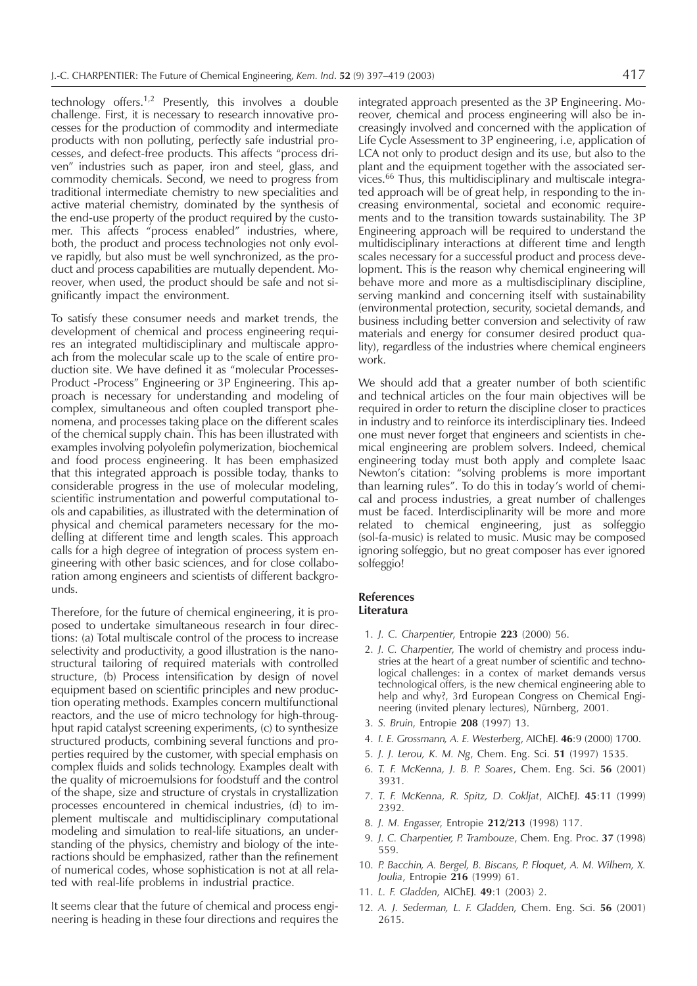technology offers.<sup>1,2</sup> Presently, this involves a double challenge. First, it is necessary to research innovative processes for the production of commodity and intermediate products with non polluting, perfectly safe industrial processes, and defect-free products. This affects "process driven" industries such as paper, iron and steel, glass, and commodity chemicals. Second, we need to progress from traditional intermediate chemistry to new specialities and active material chemistry, dominated by the synthesis of the end-use property of the product required by the customer. This affects "process enabled" industries, where, both, the product and process technologies not only evolve rapidly, but also must be well synchronized, as the product and process capabilities are mutually dependent. Moreover, when used, the product should be safe and not significantly impact the environment.

To satisfy these consumer needs and market trends, the development of chemical and process engineering requires an integrated multidisciplinary and multiscale approach from the molecular scale up to the scale of entire production site. We have defined it as "molecular Processes-Product -Process" Engineering or 3P Engineering. This approach is necessary for understanding and modeling of complex, simultaneous and often coupled transport phenomena, and processes taking place on the different scales of the chemical supply chain. This has been illustrated with examples involving polyolefin polymerization, biochemical and food process engineering. It has been emphasized that this integrated approach is possible today, thanks to considerable progress in the use of molecular modeling, scientific instrumentation and powerful computational tools and capabilities, as illustrated with the determination of physical and chemical parameters necessary for the modelling at different time and length scales. This approach calls for a high degree of integration of process system engineering with other basic sciences, and for close collaboration among engineers and scientists of different backgrounds.

Therefore, for the future of chemical engineering, it is proposed to undertake simultaneous research in four directions: (a) Total multiscale control of the process to increase selectivity and productivity, a good illustration is the nanostructural tailoring of required materials with controlled structure, (b) Process intensification by design of novel equipment based on scientific principles and new production operating methods. Examples concern multifunctional reactors, and the use of micro technology for high-throughput rapid catalyst screening experiments, (c) to synthesize structured products, combining several functions and properties required by the customer, with special emphasis on complex fluids and solids technology. Examples dealt with the quality of microemulsions for foodstuff and the control of the shape, size and structure of crystals in crystallization processes encountered in chemical industries, (d) to implement multiscale and multidisciplinary computational modeling and simulation to real-life situations, an understanding of the physics, chemistry and biology of the interactions should be emphasized, rather than the refinement of numerical codes, whose sophistication is not at all related with real-life problems in industrial practice.

It seems clear that the future of chemical and process engineering is heading in these four directions and requires the integrated approach presented as the 3P Engineering. Moreover, chemical and process engineering will also be increasingly involved and concerned with the application of Life Cycle Assessment to 3P engineering, i.e, application of LCA not only to product design and its use, but also to the plant and the equipment together with the associated services.<sup>66</sup> Thus, this multidisciplinary and multiscale integrated approach will be of great help, in responding to the increasing environmental, societal and economic requirements and to the transition towards sustainability. The 3P Engineering approach will be required to understand the multidisciplinary interactions at different time and length scales necessary for a successful product and process development. This is the reason why chemical engineering will behave more and more as a multisdisciplinary discipline, serving mankind and concerning itself with sustainability (environmental protection, security, societal demands, and business including better conversion and selectivity of raw materials and energy for consumer desired product quality), regardless of the industries where chemical engineers work.

We should add that a greater number of both scientific and technical articles on the four main objectives will be required in order to return the discipline closer to practices in industry and to reinforce its interdisciplinary ties. Indeed one must never forget that engineers and scientists in chemical engineering are problem solvers. Indeed, chemical engineering today must both apply and complete Isaac Newton's citation: "solving problems is more important than learning rules". To do this in today's world of chemical and process industries, a great number of challenges must be faced. Interdisciplinarity will be more and more related to chemical engineering, just as solfeggio (sol-fa-music) is related to music. Music may be composed ignoring solfeggio, but no great composer has ever ignored solfeggio!

#### **References Literatura**

- 1. *J. C. Charpentier*, Entropie **223** (2000) 56.
- 2. *J. C. Charpentier*, The world of chemistry and process industries at the heart of a great number of scientific and technological challenges: in a contex of market demands versus technological offers, is the new chemical engineering able to help and why?, 3rd European Congress on Chemical Engineering (invited plenary lectures), Nürnberg, 2001.
- 3. *S. Bruin*, Entropie **208** (1997) 13.
- 4. *I. E. Grossmann, A. E. Westerberg*, AIChEJ. **46**:9 (2000) 1700.
- 5. *J. J. Lerou, K. M. Ng*, Chem. Eng. Sci. **51** (1997) 1535.
- 6. *T. F. McKenna, J. B. P. Soares*, Chem. Eng. Sci. **56** (2001) 3931.
- 7. *T*. *F. McKenna, R. Spitz, D. Cokljat*, AIChEJ. **45**:11 (1999) 2392.
- 8. *J. M. Engasser*, Entropie **212/213** (1998) 117.
- 9. *J. C. Charpentier, P. Trambouze*, Chem. Eng. Proc. **37** (1998) 559.
- 10. *P. Bacchin, A. Bergel, B. Biscans, P. Floquet, A. M. Wilhem, X. Joulia*, Entropie **216** (1999) 61.
- 11. *L. F. Gladden*, AIChEJ. **49**:1 (2003) 2.
- 12. *A. J. Sederman, L. F. Gladden*, Chem. Eng. Sci. **56** (2001) 2615.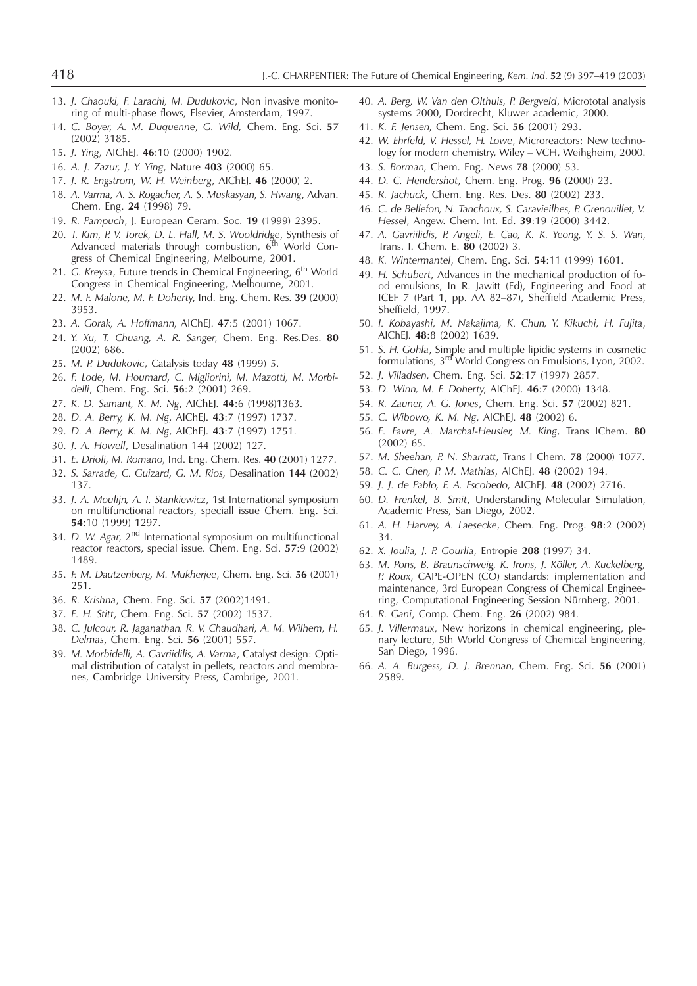- ring of multi-phase flows, Elsevier, Amsterdam, 1997. 14. *C. Boyer, A. M. Duquenne*, *G. Wild,* Chem. Eng. Sci. **57**
- (2002) 3185. 15. *J. Ying*, AIChEJ. **46**:10 (2000) 1902.
- 16. *A. J. Zazur, J. Y. Ying*, Nature **403** (2000) 65.
- 17. *J. R. Engstrom, W. H. Weinberg*, AIChEJ. **46** (2000) 2.
- 18. *A. Varma, A. S. Rogacher, A. S. Muskasyan*, *S. Hwang*, Advan. Chem. Eng. **24** (1998) 79.
- 19. *R. Pampuch*, J. European Ceram. Soc. **19** (1999) 2395.
- 20. *T. Kim, P. V. Torek, D. L. Hall, M. S. Wooldridge*, Synthesis of Advanced materials through combustion,  $6^{th}$  World Congress of Chemical Engineering, Melbourne, 2001.
- 21. *G. Kreysa*, Future trends in Chemical Engineering, 6<sup>th</sup> World Congress in Chemical Engineering, Melbourne, 2001.
- 22. *M. F. Malone, M. F. Doherty*, Ind. Eng. Chem. Res. **39** (2000) 3953.
- 23. *A. Gorak, A. Hoffmann*, AIChEJ. **47**:5 (2001) 1067.
- 24. *Y. Xu, T. Chuang, A. R. Sanger*, Chem. Eng. Res.Des. **80** (2002) 686.
- 25. *M. P. Dudukovic*, Catalysis today **48** (1999) 5.
- 26. *F. Lode, M. Houmard, C. Migliorini, M. Mazotti, M. Morbidelli*, Chem. Eng. Sci. **56**:2 (2001) 269.
- 27. *K. D. Samant, K. M. Ng*, AIChEJ. **44**:6 (1998)1363.
- 28. *D. A. Berry, K. M. Ng*, AIChEJ. **43**:7 (1997) 1737.
- 29. *D. A. Berry, K. M. Ng*, AIChEJ. **43**:7 (1997) 1751.
- 30. *J. A. Howell*, Desalination 144 (2002) 127.
- 31. *E. Drioli, M. Romano*, Ind. Eng. Chem. Res. **40** (2001) 1277.
- 32. *S. Sarrade, C. Guizard, G. M. Rios,* Desalination **144** (2002) 137.
- 33. *J. A. Moulijn, A. I. Stankiewicz*, 1st International symposium on multifunctional reactors, speciall issue Chem. Eng. Sci. **54**:10 (1999) 1297.
- 34. *D. W. Agar*, 2nd International symposium on multifunctional reactor reactors, special issue. Chem. Eng. Sci. **57**:9 (2002) 1489.
- 35. *F. M. Dautzenberg, M. Mukherjee*, Chem. Eng. Sci. **56** (2001) 251.
- 36. *R. Krishna*, Chem. Eng. Sci. **57** (2002)1491.
- 37. *E. H. Stitt*, Chem. Eng. Sci. **57** (2002) 1537.
- 38. *C. Julcour, R. Jaganathan, R. V. Chaudhari, A. M. Wilhem, H. Delmas*, Chem. Eng. Sci. **56** (2001) 557.
- 39. *M. Morbidelli, A. Gavriidilis, A. Varma*, Catalyst design: Optimal distribution of catalyst in pellets, reactors and membranes, Cambridge University Press, Cambrige, 2001.
- 40. *A. Berg, W. Van den Olthuis, P. Bergveld*, Micrototal analysis systems 2000, Dordrecht, Kluwer academic, 2000.
- 41. *K. F. Jensen*, Chem. Eng. Sci. **56** (2001) 293.
- 42. *W. Ehrfeld, V. Hessel, H. Lowe*, Microreactors: New technology for modern chemistry, Wiley – VCH, Weihgheim, 2000.
- 43. *S. Borman*, Chem. Eng. News **78** (2000) 53.
- 44. *D. C. Hendershot*, Chem. Eng. Prog. **96** (2000) 23.
- 45. *R. Jachuck*, Chem. Eng. Res. Des. **80** (2002) 233.
- 46. *C. de Bellefon, N. Tanchoux, S. Caravieilhes, P. Grenouillet, V. Hessel*, Angew. Chem. Int. Ed. **39**:19 (2000) 3442.
- 47. *A. Gavriilidis, P. Angeli, E. Cao, K. K. Yeong, Y. S. S. Wan*, Trans. I. Chem. E. **80** (2002) 3.
- 48. *K. Wintermantel*, Chem. Eng. Sci. **54**:11 (1999) 1601.
- 49. *H. Schubert*, Advances in the mechanical production of food emulsions, In R. Jawitt (Ed), Engineering and Food at ICEF 7 (Part 1, pp. AA 82–87), Sheffield Academic Press, Sheffield, 1997.
- 50. *I. Kobayashi, M. Nakajima, K. Chun, Y. Kikuchi, H. Fujita*, AIChEJ. **48**:8 (2002) 1639.
- 51. *S. H. Gohla*, Simple and multiple lipidic systems in cosmetic formulations, 3rd World Congress on Emulsions, Lyon, 2002.
- 52. *J. Villadsen*, Chem. Eng. Sci. **52**:17 (1997) 2857.
- 53. *D. Winn, M. F. Doherty*, AIChEJ. **46**:7 (2000) 1348.
- 54. *R. Zauner, A. G. Jones*, Chem. Eng. Sci. **57** (2002) 821.
- 55. *C. Wibowo, K. M. Ng*, AIChEJ. **48** (2002) 6.
- 56. *E. Favre, A. Marchal-Heusler, M. King*, Trans IChem. **80** (2002) 65.
- 57. *M. Sheehan, P. N. Sharratt*, Trans I Chem. **78** (2000) 1077.
- 58. *C. C. Chen, P. M. Mathias*, AIChEJ. **48** (2002) 194.
- 59. *J. J. de Pablo, F. A. Escobedo*, AIChEJ. **48** (2002) 2716.
- 60. *D. Frenkel, B. Smit*, Understanding Molecular Simulation, Academic Press, San Diego, 2002.
- 61. *A. H. Harvey, A. Laesecke*, Chem. Eng. Prog. **98**:2 (2002) 34.
- 62. *X. Joulia, J. P. Gourlia*, Entropie **208** (1997) 34.
- 63. *M. Pons, B. Braunschweig, K. Irons, J. Köller, A. Kuckelberg, P. Roux, CAPE-OPEN (CO)* standards: implementation and maintenance, 3rd European Congress of Chemical Engineering, Computational Engineering Session Nürnberg, 2001.
- 64. *R. Gani*, Comp. Chem. Eng. **26** (2002) 984.
- 65. *J. Villermaux*, New horizons in chemical engineering, plenary lecture, 5th World Congress of Chemical Engineering, San Diego, 1996.
- 66. *A. A. Burgess, D. J. Brennan*, Chem. Eng. Sci. **56** (2001) 2589.